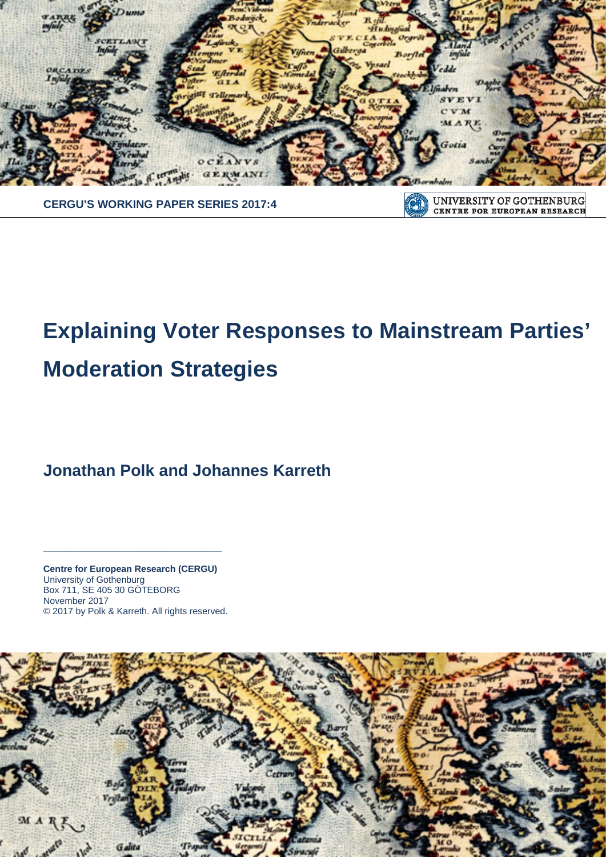

**CERGU'S WORKING PAPER SERIES 2017:4**

UNIVERSITY OF GOTHENBURG OT) CENTRE FOR EUROPEAN RESEARCH

# **Explaining Voter Responses to Mainstream Parties' Moderation Strategies**

**Jonathan Polk and Johannes Karreth**

**Centre for European Research (CERGU)**  University of Gothenburg Box 711, SE 405 30 GÖTEBORG November 2017 © 2017 by Polk & Karreth. All rights reserved.

**\_\_\_\_\_\_\_\_\_\_\_\_\_\_\_\_\_\_\_\_\_\_\_\_\_\_\_\_\_\_\_\_\_\_\_**

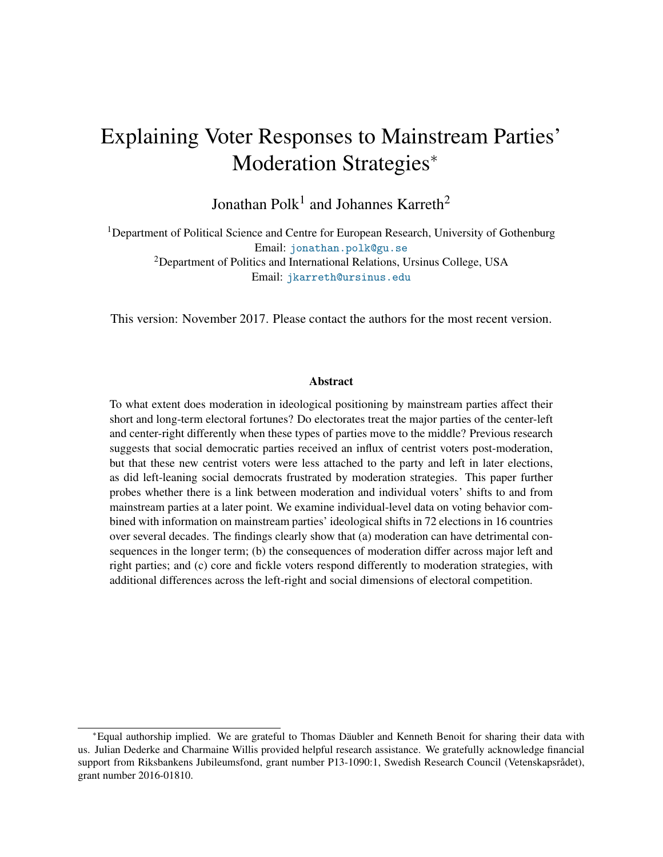## Explaining Voter Responses to Mainstream Parties' Moderation Strategies<sup>∗</sup>

Jonathan  $\text{Polk}^1$  and Johannes Karreth<sup>2</sup>

<sup>1</sup>Department of Political Science and Centre for European Research, University of Gothenburg Email: [jonathan.polk@gu.se](mailto:jonathan.polk@gu.se) <sup>2</sup>Department of Politics and International Relations, Ursinus College, USA Email: [jkarreth@ursinus.edu](mailto:jkarreth@ursinus.edu)

This version: November 2017. Please contact the authors for the most recent version.

#### Abstract

To what extent does moderation in ideological positioning by mainstream parties affect their short and long-term electoral fortunes? Do electorates treat the major parties of the center-left and center-right differently when these types of parties move to the middle? Previous research suggests that social democratic parties received an influx of centrist voters post-moderation, but that these new centrist voters were less attached to the party and left in later elections, as did left-leaning social democrats frustrated by moderation strategies. This paper further probes whether there is a link between moderation and individual voters' shifts to and from mainstream parties at a later point. We examine individual-level data on voting behavior combined with information on mainstream parties' ideological shifts in 72 elections in 16 countries over several decades. The findings clearly show that (a) moderation can have detrimental consequences in the longer term; (b) the consequences of moderation differ across major left and right parties; and (c) core and fickle voters respond differently to moderation strategies, with additional differences across the left-right and social dimensions of electoral competition.

<sup>∗</sup>Equal authorship implied. We are grateful to Thomas Daubler and Kenneth Benoit for sharing their data with ¨ us. Julian Dederke and Charmaine Willis provided helpful research assistance. We gratefully acknowledge financial support from Riksbankens Jubileumsfond, grant number P13-1090:1, Swedish Research Council (Vetenskapsrådet), grant number 2016-01810.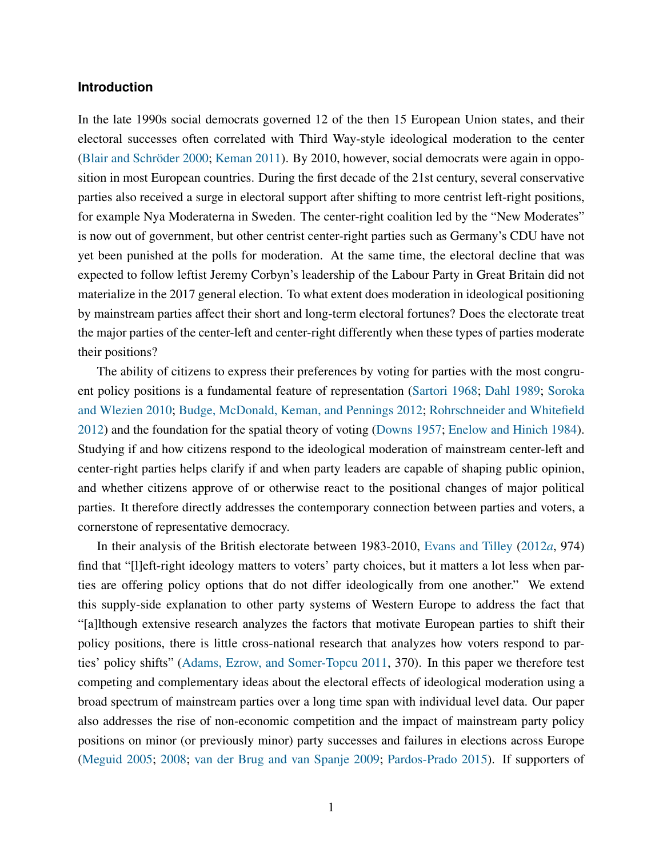#### **Introduction**

In the late 1990s social democrats governed 12 of the then 15 European Union states, and their electoral successes often correlated with Third Way-style ideological moderation to the center (Blair and Schröder [2000;](#page-27-0) [Keman](#page-29-0) [2011\)](#page-29-0). By 2010, however, social democrats were again in opposition in most European countries. During the first decade of the 21st century, several conservative parties also received a surge in electoral support after shifting to more centrist left-right positions, for example Nya Moderaterna in Sweden. The center-right coalition led by the "New Moderates" is now out of government, but other centrist center-right parties such as Germany's CDU have not yet been punished at the polls for moderation. At the same time, the electoral decline that was expected to follow leftist Jeremy Corbyn's leadership of the Labour Party in Great Britain did not materialize in the 2017 general election. To what extent does moderation in ideological positioning by mainstream parties affect their short and long-term electoral fortunes? Does the electorate treat the major parties of the center-left and center-right differently when these types of parties moderate their positions?

The ability of citizens to express their preferences by voting for parties with the most congruent policy positions is a fundamental feature of representation [\(Sartori](#page-31-0) [1968;](#page-31-0) [Dahl](#page-28-0) [1989;](#page-28-0) [Soroka](#page-31-1) [and Wlezien](#page-31-1) [2010;](#page-31-1) [Budge, McDonald, Keman, and Pennings](#page-27-1) [2012;](#page-27-1) [Rohrschneider and Whitefield](#page-31-2) [2012\)](#page-31-2) and the foundation for the spatial theory of voting [\(Downs](#page-28-1) [1957;](#page-28-1) [Enelow and Hinich](#page-28-2) [1984\)](#page-28-2). Studying if and how citizens respond to the ideological moderation of mainstream center-left and center-right parties helps clarify if and when party leaders are capable of shaping public opinion, and whether citizens approve of or otherwise react to the positional changes of major political parties. It therefore directly addresses the contemporary connection between parties and voters, a cornerstone of representative democracy.

In their analysis of the British electorate between 1983-2010, [Evans and Tilley](#page-28-3) [\(2012](#page-28-3)*a*, 974) find that "[l]eft-right ideology matters to voters' party choices, but it matters a lot less when parties are offering policy options that do not differ ideologically from one another." We extend this supply-side explanation to other party systems of Western Europe to address the fact that "[a]lthough extensive research analyzes the factors that motivate European parties to shift their policy positions, there is little cross-national research that analyzes how voters respond to parties' policy shifts" [\(Adams, Ezrow, and Somer-Topcu](#page-26-0) [2011,](#page-26-0) 370). In this paper we therefore test competing and complementary ideas about the electoral effects of ideological moderation using a broad spectrum of mainstream parties over a long time span with individual level data. Our paper also addresses the rise of non-economic competition and the impact of mainstream party policy positions on minor (or previously minor) party successes and failures in elections across Europe [\(Meguid](#page-31-3) [2005;](#page-31-3) [2008;](#page-31-4) [van der Brug and van Spanje](#page-32-0) [2009;](#page-32-0) [Pardos-Prado](#page-31-5) [2015\)](#page-31-5). If supporters of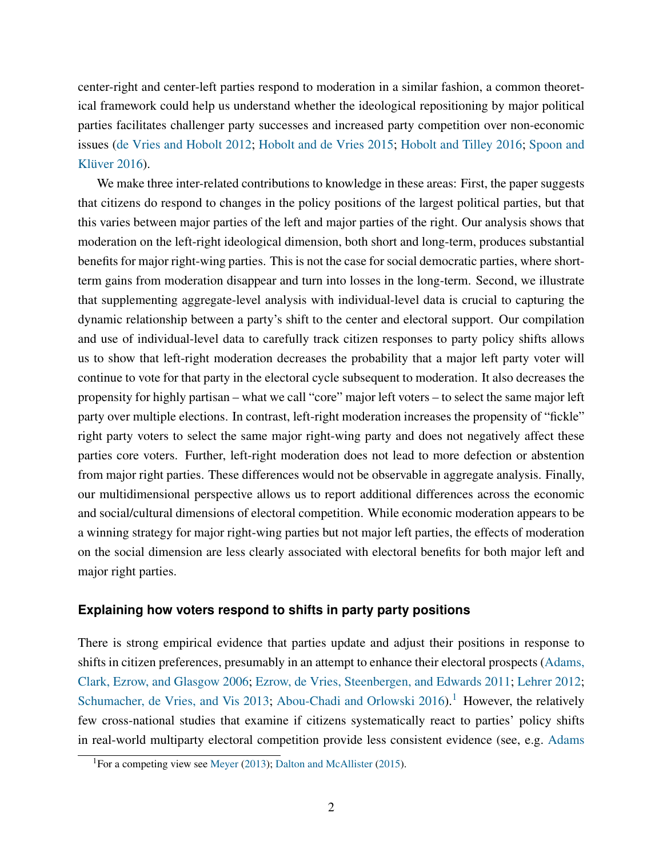center-right and center-left parties respond to moderation in a similar fashion, a common theoretical framework could help us understand whether the ideological repositioning by major political parties facilitates challenger party successes and increased party competition over non-economic issues [\(de Vries and Hobolt](#page-28-4) [2012;](#page-28-4) [Hobolt and de Vries](#page-29-1) [2015;](#page-29-1) [Hobolt and Tilley](#page-29-2) [2016;](#page-29-2) [Spoon and](#page-31-6) Klüver  $2016$ ).

We make three inter-related contributions to knowledge in these areas: First, the paper suggests that citizens do respond to changes in the policy positions of the largest political parties, but that this varies between major parties of the left and major parties of the right. Our analysis shows that moderation on the left-right ideological dimension, both short and long-term, produces substantial benefits for major right-wing parties. This is not the case for social democratic parties, where shortterm gains from moderation disappear and turn into losses in the long-term. Second, we illustrate that supplementing aggregate-level analysis with individual-level data is crucial to capturing the dynamic relationship between a party's shift to the center and electoral support. Our compilation and use of individual-level data to carefully track citizen responses to party policy shifts allows us to show that left-right moderation decreases the probability that a major left party voter will continue to vote for that party in the electoral cycle subsequent to moderation. It also decreases the propensity for highly partisan – what we call "core" major left voters – to select the same major left party over multiple elections. In contrast, left-right moderation increases the propensity of "fickle" right party voters to select the same major right-wing party and does not negatively affect these parties core voters. Further, left-right moderation does not lead to more defection or abstention from major right parties. These differences would not be observable in aggregate analysis. Finally, our multidimensional perspective allows us to report additional differences across the economic and social/cultural dimensions of electoral competition. While economic moderation appears to be a winning strategy for major right-wing parties but not major left parties, the effects of moderation on the social dimension are less clearly associated with electoral benefits for both major left and major right parties.

#### **Explaining how voters respond to shifts in party party positions**

There is strong empirical evidence that parties update and adjust their positions in response to shifts in citizen preferences, presumably in an attempt to enhance their electoral prospects [\(Adams,](#page-26-1) [Clark, Ezrow, and Glasgow](#page-26-1) [2006;](#page-26-1) [Ezrow, de Vries, Steenbergen, and Edwards](#page-28-5) [2011;](#page-28-5) [Lehrer](#page-30-0) [2012;](#page-30-0) [Schumacher, de Vries, and Vis](#page-31-7) [2013;](#page-31-7) [Abou-Chadi and Orlowski](#page-26-2)  $2016$  $2016$  $2016$ .<sup>1</sup> However, the relatively few cross-national studies that examine if citizens systematically react to parties' policy shifts in real-world multiparty electoral competition provide less consistent evidence (see, e.g. [Adams](#page-26-3)

<span id="page-3-0"></span><sup>&</sup>lt;sup>1</sup>For a competing view see [Meyer](#page-31-8) [\(2013\)](#page-31-8); [Dalton and McAllister](#page-28-6) [\(2015\)](#page-28-6).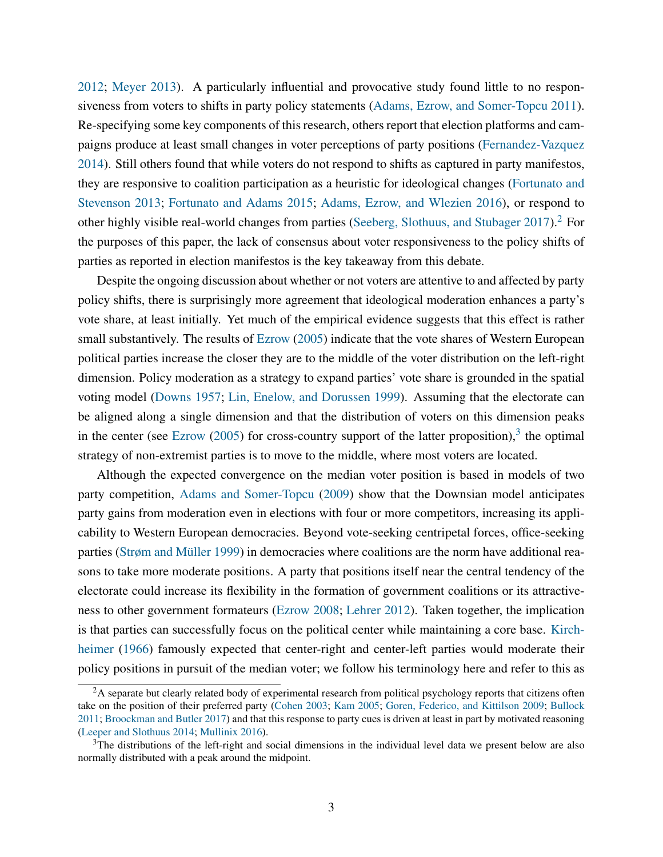[2012;](#page-26-3) [Meyer](#page-31-8) [2013\)](#page-31-8). A particularly influential and provocative study found little to no responsiveness from voters to shifts in party policy statements [\(Adams, Ezrow, and Somer-Topcu](#page-26-0) [2011\)](#page-26-0). Re-specifying some key components of this research, others report that election platforms and campaigns produce at least small changes in voter perceptions of party positions [\(Fernandez-Vazquez](#page-28-7) [2014\)](#page-28-7). Still others found that while voters do not respond to shifts as captured in party manifestos, they are responsive to coalition participation as a heuristic for ideological changes [\(Fortunato and](#page-28-8) [Stevenson](#page-28-8) [2013;](#page-28-8) [Fortunato and Adams](#page-28-9) [2015;](#page-28-9) [Adams, Ezrow, and Wlezien](#page-26-4) [2016\)](#page-26-4), or respond to other highly visible real-world changes from parties [\(Seeberg, Slothuus, and Stubager](#page-31-9) [2017\)](#page-31-9).<sup>[2](#page-4-0)</sup> For the purposes of this paper, the lack of consensus about voter responsiveness to the policy shifts of parties as reported in election manifestos is the key takeaway from this debate.

Despite the ongoing discussion about whether or not voters are attentive to and affected by party policy shifts, there is surprisingly more agreement that ideological moderation enhances a party's vote share, at least initially. Yet much of the empirical evidence suggests that this effect is rather small substantively. The results of [Ezrow](#page-28-10) [\(2005\)](#page-28-10) indicate that the vote shares of Western European political parties increase the closer they are to the middle of the voter distribution on the left-right dimension. Policy moderation as a strategy to expand parties' vote share is grounded in the spatial voting model [\(Downs](#page-28-1) [1957;](#page-28-1) [Lin, Enelow, and Dorussen](#page-30-1) [1999\)](#page-30-1). Assuming that the electorate can be aligned along a single dimension and that the distribution of voters on this dimension peaks in the center (see [Ezrow](#page-28-10)  $(2005)$  for cross-country support of the latter proposition),<sup>[3](#page-4-1)</sup> the optimal strategy of non-extremist parties is to move to the middle, where most voters are located.

Although the expected convergence on the median voter position is based in models of two party competition, [Adams and Somer-Topcu](#page-26-5) [\(2009\)](#page-26-5) show that the Downsian model anticipates party gains from moderation even in elections with four or more competitors, increasing its applicability to Western European democracies. Beyond vote-seeking centripetal forces, office-seeking parties (Strøm and Müller [1999\)](#page-32-1) in democracies where coalitions are the norm have additional reasons to take more moderate positions. A party that positions itself near the central tendency of the electorate could increase its flexibility in the formation of government coalitions or its attractiveness to other government formateurs [\(Ezrow](#page-28-11) [2008;](#page-28-11) [Lehrer](#page-30-0) [2012\)](#page-30-0). Taken together, the implication is that parties can successfully focus on the political center while maintaining a core base. [Kirch](#page-30-2)[heimer](#page-30-2) [\(1966\)](#page-30-2) famously expected that center-right and center-left parties would moderate their policy positions in pursuit of the median voter; we follow his terminology here and refer to this as

<span id="page-4-0"></span> ${}^{2}$ A separate but clearly related body of experimental research from political psychology reports that citizens often take on the position of their preferred party [\(Cohen](#page-27-2) [2003;](#page-27-2) [Kam](#page-29-3) [2005;](#page-29-3) [Goren, Federico, and Kittilson](#page-29-4) [2009;](#page-29-4) [Bullock](#page-27-3) [2011;](#page-27-3) [Broockman and Butler](#page-27-4) [2017\)](#page-27-4) and that this response to party cues is driven at least in part by motivated reasoning [\(Leeper and Slothuus](#page-30-3) [2014;](#page-30-3) [Mullinix](#page-31-10) [2016\)](#page-31-10).

<span id="page-4-1"></span> $3$ The distributions of the left-right and social dimensions in the individual level data we present below are also normally distributed with a peak around the midpoint.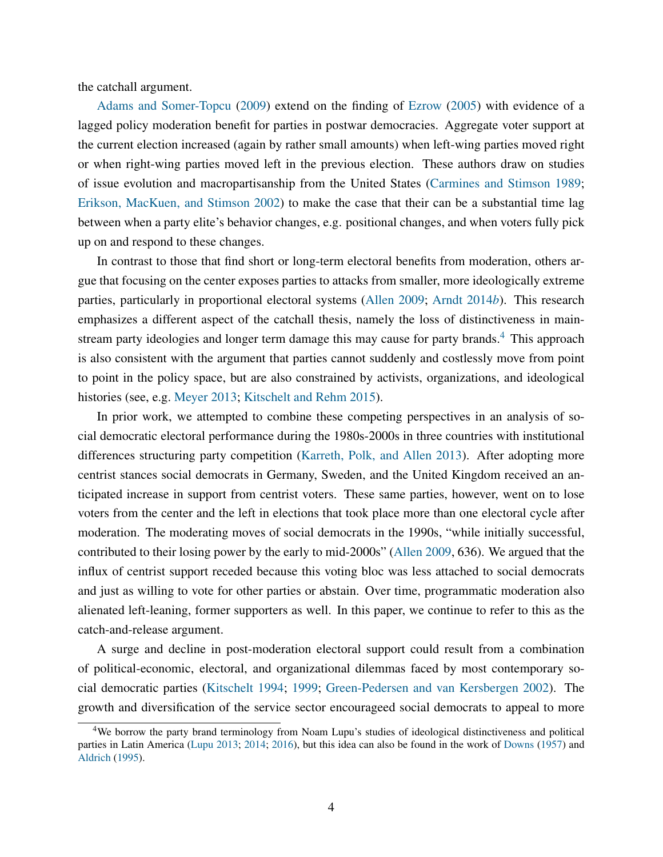the catchall argument.

[Adams and Somer-Topcu](#page-26-5) [\(2009\)](#page-26-5) extend on the finding of [Ezrow](#page-28-10) [\(2005\)](#page-28-10) with evidence of a lagged policy moderation benefit for parties in postwar democracies. Aggregate voter support at the current election increased (again by rather small amounts) when left-wing parties moved right or when right-wing parties moved left in the previous election. These authors draw on studies of issue evolution and macropartisanship from the United States [\(Carmines and Stimson](#page-27-5) [1989;](#page-27-5) [Erikson, MacKuen, and Stimson](#page-28-12) [2002\)](#page-28-12) to make the case that their can be a substantial time lag between when a party elite's behavior changes, e.g. positional changes, and when voters fully pick up on and respond to these changes.

In contrast to those that find short or long-term electoral benefits from moderation, others argue that focusing on the center exposes parties to attacks from smaller, more ideologically extreme parties, particularly in proportional electoral systems [\(Allen](#page-26-6) [2009;](#page-26-6) [Arndt](#page-27-6) [2014](#page-27-6)*b*). This research emphasizes a different aspect of the catchall thesis, namely the loss of distinctiveness in main-stream party ideologies and longer term damage this may cause for party brands.<sup>[4](#page-5-0)</sup> This approach is also consistent with the argument that parties cannot suddenly and costlessly move from point to point in the policy space, but are also constrained by activists, organizations, and ideological histories (see, e.g. [Meyer](#page-31-8) [2013;](#page-31-8) [Kitschelt and Rehm](#page-30-4) [2015\)](#page-30-4).

In prior work, we attempted to combine these competing perspectives in an analysis of social democratic electoral performance during the 1980s-2000s in three countries with institutional differences structuring party competition [\(Karreth, Polk, and Allen](#page-29-5) [2013\)](#page-29-5). After adopting more centrist stances social democrats in Germany, Sweden, and the United Kingdom received an anticipated increase in support from centrist voters. These same parties, however, went on to lose voters from the center and the left in elections that took place more than one electoral cycle after moderation. The moderating moves of social democrats in the 1990s, "while initially successful, contributed to their losing power by the early to mid-2000s" [\(Allen](#page-26-6) [2009,](#page-26-6) 636). We argued that the influx of centrist support receded because this voting bloc was less attached to social democrats and just as willing to vote for other parties or abstain. Over time, programmatic moderation also alienated left-leaning, former supporters as well. In this paper, we continue to refer to this as the catch-and-release argument.

A surge and decline in post-moderation electoral support could result from a combination of political-economic, electoral, and organizational dilemmas faced by most contemporary social democratic parties [\(Kitschelt](#page-30-5) [1994;](#page-30-5) [1999;](#page-30-6) [Green-Pedersen and van Kersbergen](#page-29-6) [2002\)](#page-29-6). The growth and diversification of the service sector encourageed social democrats to appeal to more

<span id="page-5-0"></span><sup>&</sup>lt;sup>4</sup>We borrow the party brand terminology from Noam Lupu's studies of ideological distinctiveness and political parties in Latin America [\(Lupu](#page-30-7) [2013;](#page-30-7) [2014;](#page-30-8) [2016\)](#page-30-9), but this idea can also be found in the work of [Downs](#page-28-1) [\(1957\)](#page-28-1) and [Aldrich](#page-26-7) [\(1995\)](#page-26-7).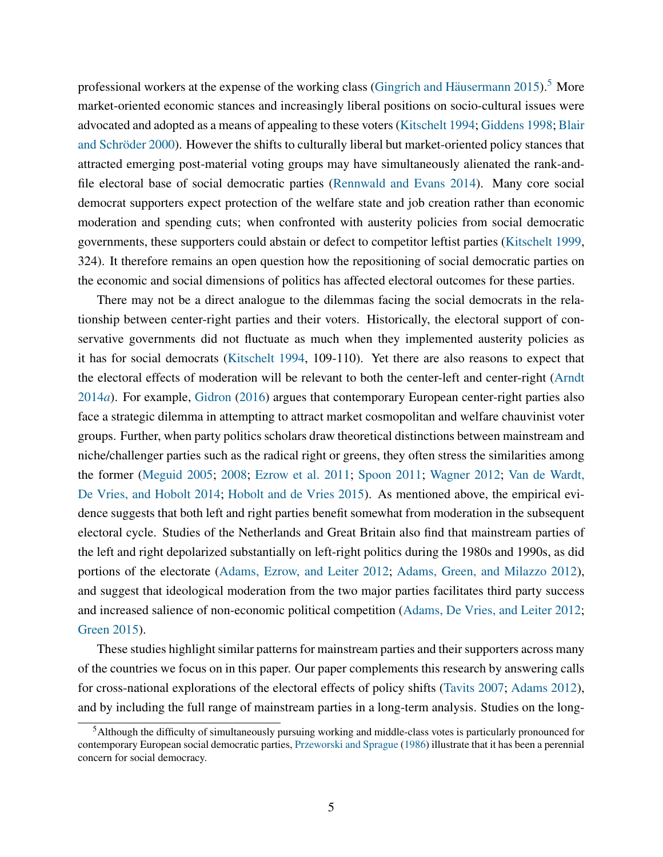professional workers at the expense of the working class (Gingrich and Häusermann  $2015$  $2015$ ).<sup>5</sup> More market-oriented economic stances and increasingly liberal positions on socio-cultural issues were advocated and adopted as a means of appealing to these voters [\(Kitschelt](#page-30-5) [1994;](#page-30-5) [Giddens](#page-29-8) [1998;](#page-29-8) [Blair](#page-27-0) and Schröder [2000\)](#page-27-0). However the shifts to culturally liberal but market-oriented policy stances that attracted emerging post-material voting groups may have simultaneously alienated the rank-andfile electoral base of social democratic parties [\(Rennwald and Evans](#page-31-11) [2014\)](#page-31-11). Many core social democrat supporters expect protection of the welfare state and job creation rather than economic moderation and spending cuts; when confronted with austerity policies from social democratic governments, these supporters could abstain or defect to competitor leftist parties [\(Kitschelt](#page-30-6) [1999,](#page-30-6) 324). It therefore remains an open question how the repositioning of social democratic parties on the economic and social dimensions of politics has affected electoral outcomes for these parties.

There may not be a direct analogue to the dilemmas facing the social democrats in the relationship between center-right parties and their voters. Historically, the electoral support of conservative governments did not fluctuate as much when they implemented austerity policies as it has for social democrats [\(Kitschelt](#page-30-5) [1994,](#page-30-5) 109-110). Yet there are also reasons to expect that the electoral effects of moderation will be relevant to both the center-left and center-right [\(Arndt](#page-27-7) [2014](#page-27-7)*a*). For example, [Gidron](#page-29-9) [\(2016\)](#page-29-9) argues that contemporary European center-right parties also face a strategic dilemma in attempting to attract market cosmopolitan and welfare chauvinist voter groups. Further, when party politics scholars draw theoretical distinctions between mainstream and niche/challenger parties such as the radical right or greens, they often stress the similarities among the former [\(Meguid](#page-31-3) [2005;](#page-31-3) [2008;](#page-31-4) [Ezrow et al.](#page-28-5) [2011;](#page-28-5) [Spoon](#page-31-12) [2011;](#page-31-12) [Wagner](#page-32-2) [2012;](#page-32-2) [Van de Wardt,](#page-32-3) [De Vries, and Hobolt](#page-32-3) [2014;](#page-32-3) [Hobolt and de Vries](#page-29-1) [2015\)](#page-29-1). As mentioned above, the empirical evidence suggests that both left and right parties benefit somewhat from moderation in the subsequent electoral cycle. Studies of the Netherlands and Great Britain also find that mainstream parties of the left and right depolarized substantially on left-right politics during the 1980s and 1990s, as did portions of the electorate [\(Adams, Ezrow, and Leiter](#page-26-8) [2012;](#page-26-8) [Adams, Green, and Milazzo](#page-26-9) [2012\)](#page-26-9), and suggest that ideological moderation from the two major parties facilitates third party success and increased salience of non-economic political competition [\(Adams, De Vries, and Leiter](#page-26-10) [2012;](#page-26-10) [Green](#page-29-10) [2015\)](#page-29-10).

These studies highlight similar patterns for mainstream parties and their supporters across many of the countries we focus on in this paper. Our paper complements this research by answering calls for cross-national explorations of the electoral effects of policy shifts [\(Tavits](#page-32-4) [2007;](#page-32-4) [Adams](#page-26-3) [2012\)](#page-26-3), and by including the full range of mainstream parties in a long-term analysis. Studies on the long-

<span id="page-6-0"></span><sup>5</sup>Although the difficulty of simultaneously pursuing working and middle-class votes is particularly pronounced for contemporary European social democratic parties, [Przeworski and Sprague](#page-31-13) [\(1986\)](#page-31-13) illustrate that it has been a perennial concern for social democracy.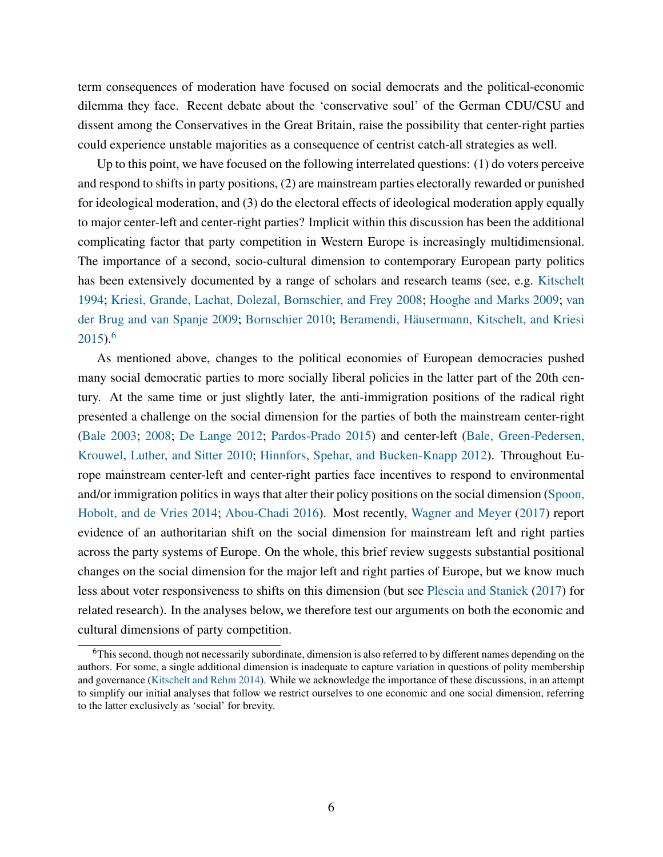term consequences of moderation have focused on social democrats and the political-economic dilemma they face. Recent debate about the 'conservative soul' of the German CDU/CSU and dissent among the Conservatives in the Great Britain, raise the possibility that center-right parties could experience unstable majorities as a consequence of centrist catch-all strategies as well.

Up to this point, we have focused on the following interrelated questions: (1) do voters perceive and respond to shifts in party positions, (2) are mainstream parties electorally rewarded or punished for ideological moderation, and (3) do the electoral effects of ideological moderation apply equally to major center-left and center-right parties? Implicit within this discussion has been the additional complicating factor that party competition in Western Europe is increasingly multidimensional. The importance of a second, socio-cultural dimension to contemporary European party politics has been extensively documented by a range of scholars and research teams (see, e.g. [Kitschelt](#page-30-5) [1994;](#page-30-5) [Kriesi, Grande, Lachat, Dolezal, Bornschier, and Frey](#page-30-10) [2008;](#page-30-10) [Hooghe and Marks](#page-29-11) [2009;](#page-29-11) [van](#page-32-0) [der Brug and van Spanje](#page-32-0) [2009;](#page-32-0) [Bornschier](#page-27-8) [2010;](#page-27-8) Beramendi, Häusermann, Kitschelt, and Kriesi  $2015$ .<sup>[6](#page-7-0)</sup>

As mentioned above, changes to the political economies of European democracies pushed many social democratic parties to more socially liberal policies in the latter part of the 20th century. At the same time or just slightly later, the anti-immigration positions of the radical right presented a challenge on the social dimension for the parties of both the mainstream center-right [\(Bale](#page-27-10) [2003;](#page-27-10) [2008;](#page-27-11) [De Lange](#page-28-13) [2012;](#page-28-13) [Pardos-Prado](#page-31-5) [2015\)](#page-31-5) and center-left [\(Bale, Green-Pedersen,](#page-27-12) [Krouwel, Luther, and Sitter](#page-27-12) [2010;](#page-27-12) [Hinnfors, Spehar, and Bucken-Knapp](#page-29-12) [2012\)](#page-29-12). Throughout Europe mainstream center-left and center-right parties face incentives to respond to environmental and/or immigration politics in ways that alter their policy positions on the social dimension [\(Spoon,](#page-32-5) [Hobolt, and de Vries](#page-32-5) [2014;](#page-32-5) [Abou-Chadi](#page-26-11) [2016\)](#page-26-11). Most recently, [Wagner and Meyer](#page-32-6) [\(2017\)](#page-32-6) report evidence of an authoritarian shift on the social dimension for mainstream left and right parties across the party systems of Europe. On the whole, this brief review suggests substantial positional changes on the social dimension for the major left and right parties of Europe, but we know much less about voter responsiveness to shifts on this dimension (but see [Plescia and Staniek](#page-31-14) [\(2017\)](#page-31-14) for related research). In the analyses below, we therefore test our arguments on both the economic and cultural dimensions of party competition.

<span id="page-7-0"></span><sup>6</sup>This second, though not necessarily subordinate, dimension is also referred to by different names depending on the authors. For some, a single additional dimension is inadequate to capture variation in questions of polity membership and governance [\(Kitschelt and Rehm](#page-30-11) [2014\)](#page-30-11). While we acknowledge the importance of these discussions, in an attempt to simplify our initial analyses that follow we restrict ourselves to one economic and one social dimension, referring to the latter exclusively as 'social' for brevity.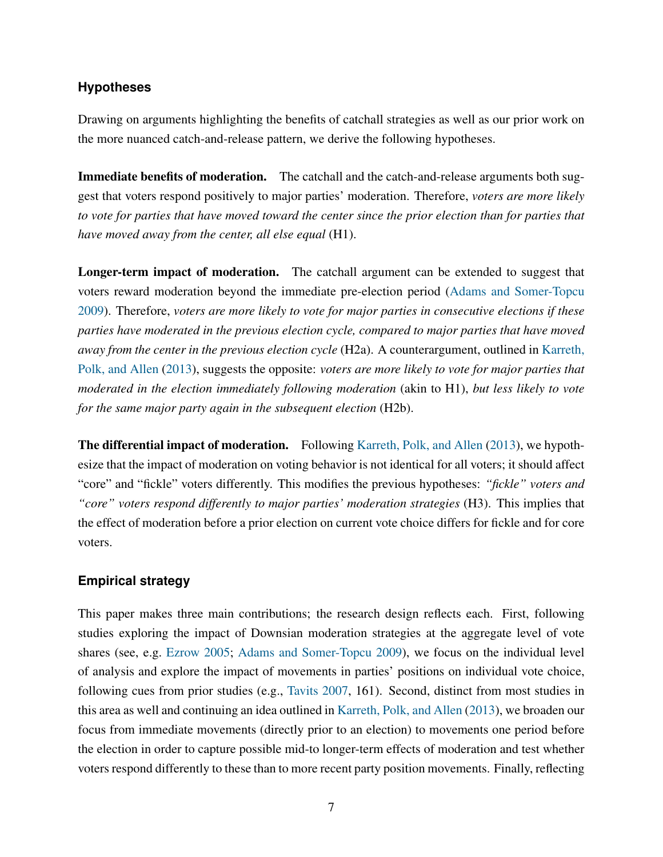#### **Hypotheses**

Drawing on arguments highlighting the benefits of catchall strategies as well as our prior work on the more nuanced catch-and-release pattern, we derive the following hypotheses.

Immediate benefits of moderation. The catchall and the catch-and-release arguments both suggest that voters respond positively to major parties' moderation. Therefore, *voters are more likely to vote for parties that have moved toward the center since the prior election than for parties that have moved away from the center, all else equal* (H1).

Longer-term impact of moderation. The catchall argument can be extended to suggest that voters reward moderation beyond the immediate pre-election period [\(Adams and Somer-Topcu](#page-26-5) [2009\)](#page-26-5). Therefore, *voters are more likely to vote for major parties in consecutive elections if these parties have moderated in the previous election cycle, compared to major parties that have moved away from the center in the previous election cycle* (H2a). A counterargument, outlined in [Karreth,](#page-29-5) [Polk, and Allen](#page-29-5) [\(2013\)](#page-29-5), suggests the opposite: *voters are more likely to vote for major parties that moderated in the election immediately following moderation* (akin to H1), *but less likely to vote for the same major party again in the subsequent election* (H2b).

The differential impact of moderation. Following [Karreth, Polk, and Allen](#page-29-5) [\(2013\)](#page-29-5), we hypothesize that the impact of moderation on voting behavior is not identical for all voters; it should affect "core" and "fickle" voters differently. This modifies the previous hypotheses: *"fickle" voters and "core" voters respond differently to major parties' moderation strategies* (H3). This implies that the effect of moderation before a prior election on current vote choice differs for fickle and for core voters.

#### **Empirical strategy**

This paper makes three main contributions; the research design reflects each. First, following studies exploring the impact of Downsian moderation strategies at the aggregate level of vote shares (see, e.g. [Ezrow](#page-28-10) [2005;](#page-28-10) [Adams and Somer-Topcu](#page-26-5) [2009\)](#page-26-5), we focus on the individual level of analysis and explore the impact of movements in parties' positions on individual vote choice, following cues from prior studies (e.g., [Tavits](#page-32-4) [2007,](#page-32-4) 161). Second, distinct from most studies in this area as well and continuing an idea outlined in [Karreth, Polk, and Allen](#page-29-5) [\(2013\)](#page-29-5), we broaden our focus from immediate movements (directly prior to an election) to movements one period before the election in order to capture possible mid-to longer-term effects of moderation and test whether voters respond differently to these than to more recent party position movements. Finally, reflecting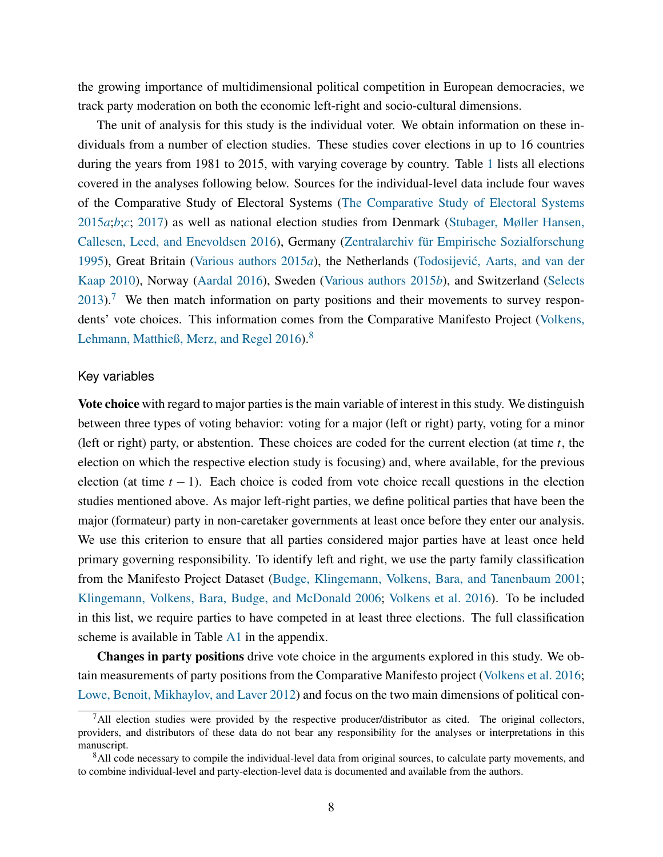the growing importance of multidimensional political competition in European democracies, we track party moderation on both the economic left-right and socio-cultural dimensions.

The unit of analysis for this study is the individual voter. We obtain information on these individuals from a number of election studies. These studies cover elections in up to 16 countries during the years from 1981 to 2015, with varying coverage by country. Table [1](#page-10-0) lists all elections covered in the analyses following below. Sources for the individual-level data include four waves of the Comparative Study of Electoral Systems [\(The Comparative Study of Electoral Systems](#page-32-7) [2015](#page-32-7)*a*;*[b](#page-32-8)*;*[c](#page-32-9)*; [2017\)](#page-32-10) as well as national election studies from Denmark [\(Stubager, Møller Hansen,](#page-32-11) [Callesen, Leed, and Enevoldsen](#page-32-11) [2016\)](#page-32-11), Germany (Zentralarchiv für Empirische Sozialforschung [1995\)](#page-32-12), Great Britain [\(Various authors](#page-32-13) [2015](#page-32-13)*a*), the Netherlands [\(Todosijevic, Aarts, and van der](#page-32-14) ´ [Kaap](#page-32-14) [2010\)](#page-32-14), Norway [\(Aardal](#page-26-12) [2016\)](#page-26-12), Sweden [\(Various authors](#page-32-15) [2015](#page-32-15)*b*), and Switzerland [\(Selects](#page-31-15)  $2013$ .<sup>[7](#page-9-0)</sup> We then match information on party positions and their movements to survey respondents' vote choices. This information comes from the Comparative Manifesto Project [\(Volkens,](#page-32-16) [Lehmann, Matthieß, Merz, and Regel](#page-32-16) [2016\)](#page-32-16).<sup>[8](#page-9-1)</sup>

#### Key variables

Vote choice with regard to major parties is the main variable of interest in this study. We distinguish between three types of voting behavior: voting for a major (left or right) party, voting for a minor (left or right) party, or abstention. These choices are coded for the current election (at time *t*, the election on which the respective election study is focusing) and, where available, for the previous election (at time *t* − 1). Each choice is coded from vote choice recall questions in the election studies mentioned above. As major left-right parties, we define political parties that have been the major (formateur) party in non-caretaker governments at least once before they enter our analysis. We use this criterion to ensure that all parties considered major parties have at least once held primary governing responsibility. To identify left and right, we use the party family classification from the Manifesto Project Dataset [\(Budge, Klingemann, Volkens, Bara, and Tanenbaum](#page-27-13) [2001;](#page-27-13) [Klingemann, Volkens, Bara, Budge, and McDonald](#page-30-12) [2006;](#page-30-12) [Volkens et al.](#page-32-16) [2016\)](#page-32-16). To be included in this list, we require parties to have competed in at least three elections. The full classification scheme is available in Table [A1](#page-33-0) in the appendix.

Changes in party positions drive vote choice in the arguments explored in this study. We obtain measurements of party positions from the Comparative Manifesto project [\(Volkens et al.](#page-32-16) [2016;](#page-32-16) [Lowe, Benoit, Mikhaylov, and Laver](#page-30-13) [2012\)](#page-30-13) and focus on the two main dimensions of political con-

<span id="page-9-0"></span> $<sup>7</sup>$ All election studies were provided by the respective producer/distributor as cited. The original collectors,</sup> providers, and distributors of these data do not bear any responsibility for the analyses or interpretations in this manuscript.

<span id="page-9-1"></span><sup>&</sup>lt;sup>8</sup>All code necessary to compile the individual-level data from original sources, to calculate party movements, and to combine individual-level and party-election-level data is documented and available from the authors.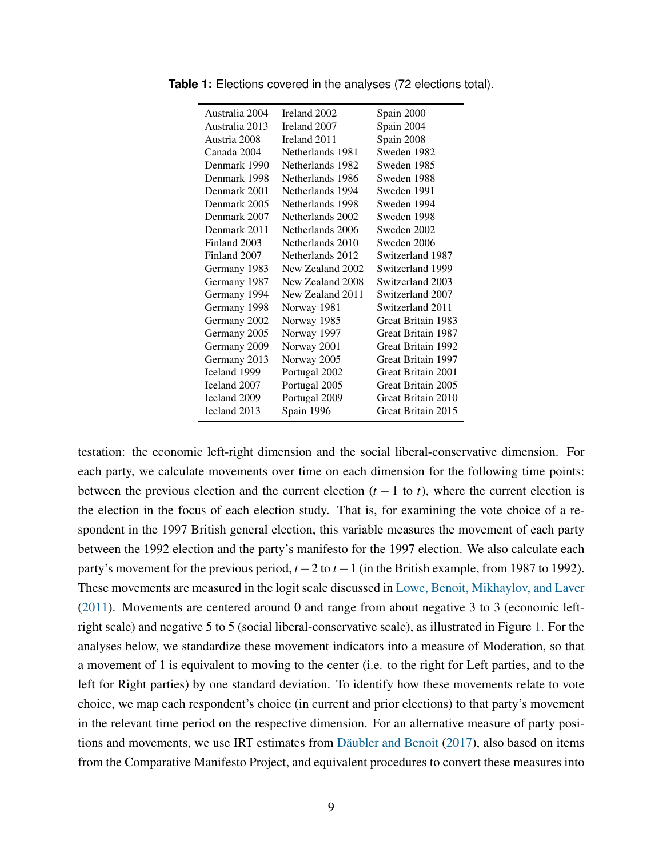| Australia 2004 | Ireland 2002     | Spain 2000         |
|----------------|------------------|--------------------|
| Australia 2013 | Ireland 2007     | Spain 2004         |
| Austria 2008   | Ireland 2011     | Spain 2008         |
| Canada 2004    | Netherlands 1981 | Sweden 1982        |
| Denmark 1990   | Netherlands 1982 | Sweden 1985        |
| Denmark 1998   | Netherlands 1986 | Sweden 1988        |
| Denmark 2001   | Netherlands 1994 | Sweden 1991        |
| Denmark 2005   | Netherlands 1998 | Sweden 1994        |
| Denmark 2007   | Netherlands 2002 | Sweden 1998        |
| Denmark 2011   | Netherlands 2006 | Sweden 2002        |
| Finland 2003   | Netherlands 2010 | Sweden 2006        |
| Finland 2007   | Netherlands 2012 | Switzerland 1987   |
| Germany 1983   | New Zealand 2002 | Switzerland 1999   |
| Germany 1987   | New Zealand 2008 | Switzerland 2003   |
| Germany 1994   | New Zealand 2011 | Switzerland 2007   |
| Germany 1998   | Norway 1981      | Switzerland 2011   |
| Germany 2002   | Norway 1985      | Great Britain 1983 |
| Germany 2005   | Norway 1997      | Great Britain 1987 |
| Germany 2009   | Norway 2001      | Great Britain 1992 |
| Germany 2013   | Norway 2005      | Great Britain 1997 |
| Iceland 1999   | Portugal 2002    | Great Britain 2001 |
| Iceland 2007   | Portugal 2005    | Great Britain 2005 |
| Iceland 2009   | Portugal 2009    | Great Britain 2010 |
| Iceland 2013   | Spain 1996       | Great Britain 2015 |
|                |                  |                    |

<span id="page-10-0"></span>**Table 1:** Elections covered in the analyses (72 elections total).

testation: the economic left-right dimension and the social liberal-conservative dimension. For each party, we calculate movements over time on each dimension for the following time points: between the previous election and the current election  $(t - 1$  to  $t)$ , where the current election is the election in the focus of each election study. That is, for examining the vote choice of a respondent in the 1997 British general election, this variable measures the movement of each party between the 1992 election and the party's manifesto for the 1997 election. We also calculate each party's movement for the previous period, *t* −2 to *t* −1 (in the British example, from 1987 to 1992). These movements are measured in the logit scale discussed in [Lowe, Benoit, Mikhaylov, and Laver](#page-30-14) [\(2011\)](#page-30-14). Movements are centered around 0 and range from about negative 3 to 3 (economic leftright scale) and negative 5 to 5 (social liberal-conservative scale), as illustrated in Figure [1.](#page-11-0) For the analyses below, we standardize these movement indicators into a measure of Moderation, so that a movement of 1 is equivalent to moving to the center (i.e. to the right for Left parties, and to the left for Right parties) by one standard deviation. To identify how these movements relate to vote choice, we map each respondent's choice (in current and prior elections) to that party's movement in the relevant time period on the respective dimension. For an alternative measure of party positions and movements, we use IRT estimates from Däubler and Benoit  $(2017)$ , also based on items from the Comparative Manifesto Project, and equivalent procedures to convert these measures into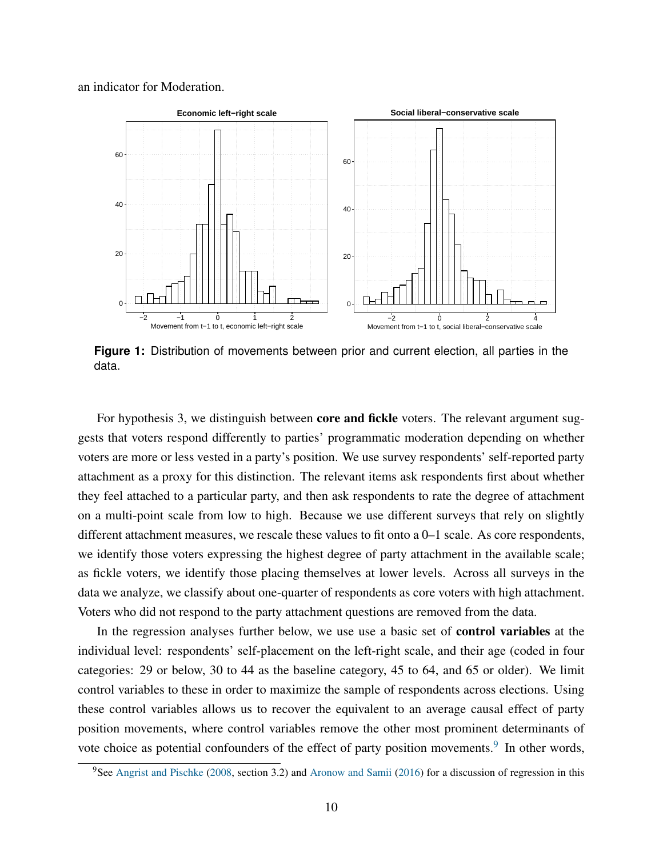<span id="page-11-0"></span>an indicator for Moderation.



**Figure 1:** Distribution of movements between prior and current election, all parties in the data.

For hypothesis 3, we distinguish between **core and fickle** voters. The relevant argument suggests that voters respond differently to parties' programmatic moderation depending on whether voters are more or less vested in a party's position. We use survey respondents' self-reported party attachment as a proxy for this distinction. The relevant items ask respondents first about whether they feel attached to a particular party, and then ask respondents to rate the degree of attachment on a multi-point scale from low to high. Because we use different surveys that rely on slightly different attachment measures, we rescale these values to fit onto a 0–1 scale. As core respondents, we identify those voters expressing the highest degree of party attachment in the available scale; as fickle voters, we identify those placing themselves at lower levels. Across all surveys in the data we analyze, we classify about one-quarter of respondents as core voters with high attachment. Voters who did not respond to the party attachment questions are removed from the data.

In the regression analyses further below, we use use a basic set of control variables at the individual level: respondents' self-placement on the left-right scale, and their age (coded in four categories: 29 or below, 30 to 44 as the baseline category, 45 to 64, and 65 or older). We limit control variables to these in order to maximize the sample of respondents across elections. Using these control variables allows us to recover the equivalent to an average causal effect of party position movements, where control variables remove the other most prominent determinants of vote choice as potential confounders of the effect of party position movements.<sup>[9](#page-11-1)</sup> In other words,

<span id="page-11-1"></span> $9$ See [Angrist and Pischke](#page-27-14) [\(2008,](#page-27-14) section 3.2) and [Aronow and Samii](#page-27-15) [\(2016\)](#page-27-15) for a discussion of regression in this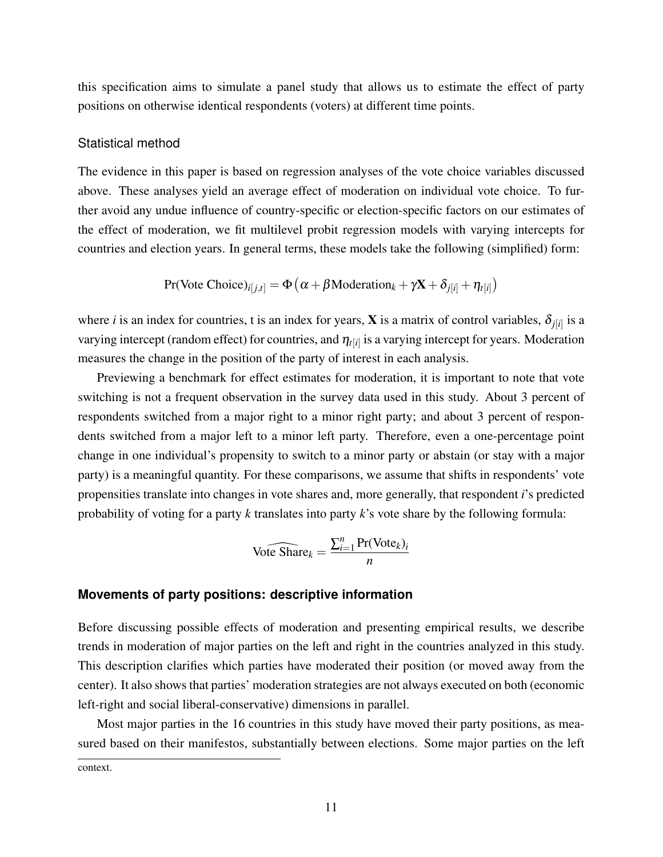this specification aims to simulate a panel study that allows us to estimate the effect of party positions on otherwise identical respondents (voters) at different time points.

#### Statistical method

The evidence in this paper is based on regression analyses of the vote choice variables discussed above. These analyses yield an average effect of moderation on individual vote choice. To further avoid any undue influence of country-specific or election-specific factors on our estimates of the effect of moderation, we fit multilevel probit regression models with varying intercepts for countries and election years. In general terms, these models take the following (simplified) form:

$$
Pr(\text{Vote Choice})_{i[j,t]} = \Phi\left(\alpha + \beta \text{Modernation}_k + \gamma \mathbf{X} + \delta_{j[i]} + \eta_{t[i]}\right)
$$

where *i* is an index for countries, t is an index for years, **X** is a matrix of control variables,  $\delta_{j[i]}$  is a varying intercept (random effect) for countries, and  $\eta_{t[i]}$  is a varying intercept for years. Moderation measures the change in the position of the party of interest in each analysis.

Previewing a benchmark for effect estimates for moderation, it is important to note that vote switching is not a frequent observation in the survey data used in this study. About 3 percent of respondents switched from a major right to a minor right party; and about 3 percent of respondents switched from a major left to a minor left party. Therefore, even a one-percentage point change in one individual's propensity to switch to a minor party or abstain (or stay with a major party) is a meaningful quantity. For these comparisons, we assume that shifts in respondents' vote propensities translate into changes in vote shares and, more generally, that respondent *i*'s predicted probability of voting for a party *k* translates into party *k*'s vote share by the following formula:

$$
\widehat{\text{Note Share}_k} = \frac{\sum_{i=1}^{n} \text{Pr}(\text{Vote}_k)_i}{n}
$$

#### **Movements of party positions: descriptive information**

Before discussing possible effects of moderation and presenting empirical results, we describe trends in moderation of major parties on the left and right in the countries analyzed in this study. This description clarifies which parties have moderated their position (or moved away from the center). It also shows that parties' moderation strategies are not always executed on both (economic left-right and social liberal-conservative) dimensions in parallel.

Most major parties in the 16 countries in this study have moved their party positions, as measured based on their manifestos, substantially between elections. Some major parties on the left

context.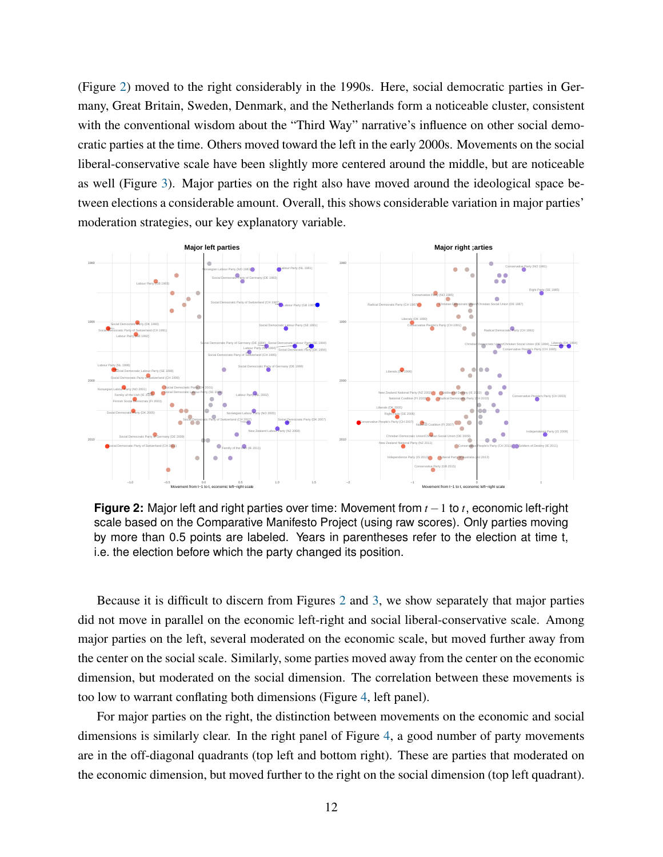(Figure [2\)](#page-13-0) moved to the right considerably in the 1990s. Here, social democratic parties in Germany, Great Britain, Sweden, Denmark, and the Netherlands form a noticeable cluster, consistent with the conventional wisdom about the "Third Way" narrative's influence on other social democratic parties at the time. Others moved toward the left in the early 2000s. Movements on the social liberal-conservative scale have been slightly more centered around the middle, but are noticeable as well (Figure [3\)](#page-14-0). Major parties on the right also have moved around the ideological space between elections a considerable amount. Overall, this shows considerable variation in major parties' moderation strategies, our key explanatory variable.

<span id="page-13-0"></span>

**Figure 2:** Major left and right parties over time: Movement from *t* −1 to *t*, economic left-right scale based on the Comparative Manifesto Project (using raw scores). Only parties moving by more than 0.5 points are labeled. Years in parentheses refer to the election at time t, i.e. the election before which the party changed its position.

Because it is difficult to discern from Figures [2](#page-13-0) and [3,](#page-14-0) we show separately that major parties did not move in parallel on the economic left-right and social liberal-conservative scale. Among major parties on the left, several moderated on the economic scale, but moved further away from the center on the social scale. Similarly, some parties moved away from the center on the economic dimension, but moderated on the social dimension. The correlation between these movements is too low to warrant conflating both dimensions (Figure [4,](#page-14-1) left panel).

For major parties on the right, the distinction between movements on the economic and social dimensions is similarly clear. In the right panel of Figure [4,](#page-14-1) a good number of party movements are in the off-diagonal quadrants (top left and bottom right). These are parties that moderated on the economic dimension, but moved further to the right on the social dimension (top left quadrant).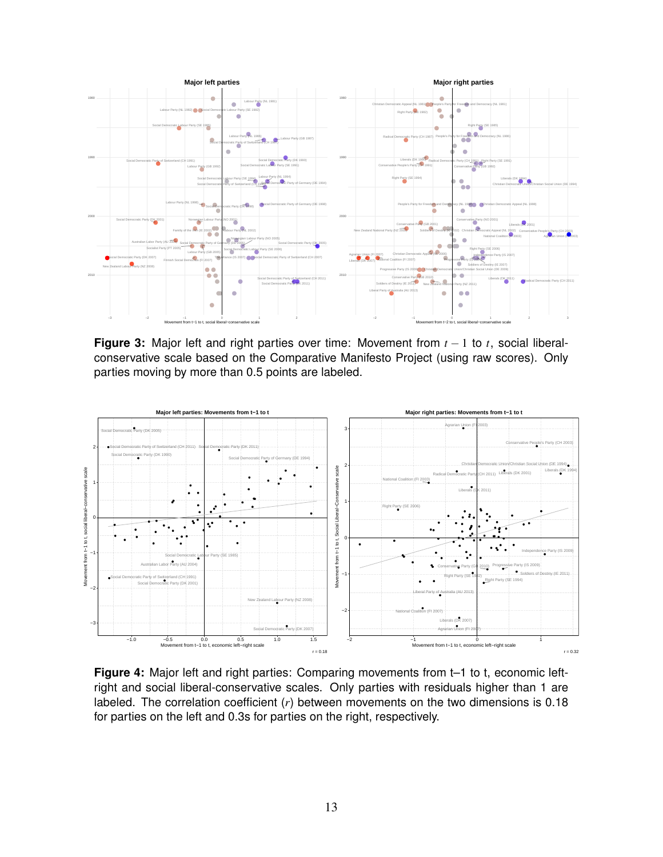<span id="page-14-0"></span>

**Figure 3:** Major left and right parties over time: Movement from *t* − 1 to *t*, social liberalconservative scale based on the Comparative Manifesto Project (using raw scores). Only parties moving by more than 0.5 points are labeled.

<span id="page-14-1"></span>

**Figure 4:** Major left and right parties: Comparing movements from t–1 to t, economic leftright and social liberal-conservative scales. Only parties with residuals higher than 1 are labeled. The correlation coefficient (*r*) between movements on the two dimensions is 0.18 for parties on the left and 0.3s for parties on the right, respectively.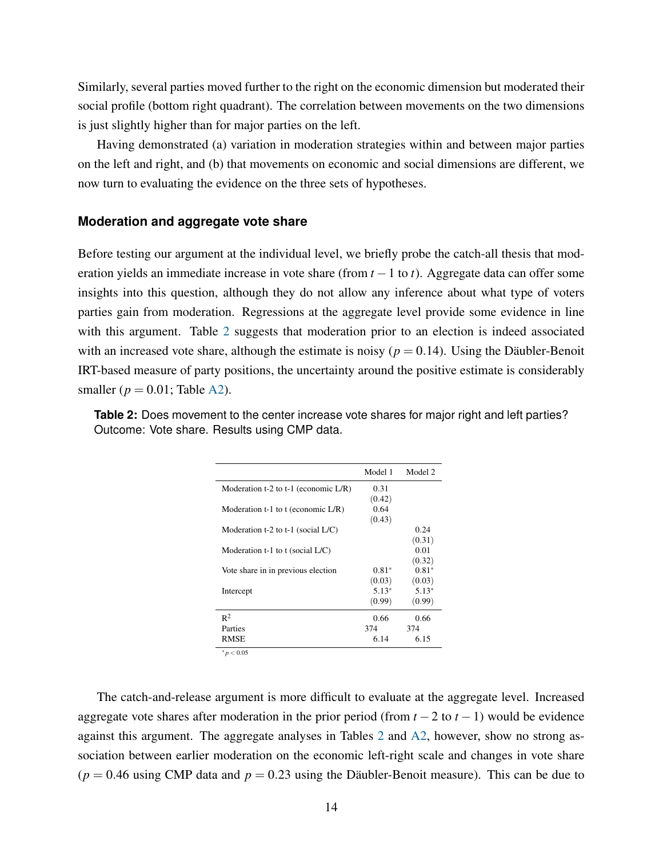Similarly, several parties moved further to the right on the economic dimension but moderated their social profile (bottom right quadrant). The correlation between movements on the two dimensions is just slightly higher than for major parties on the left.

Having demonstrated (a) variation in moderation strategies within and between major parties on the left and right, and (b) that movements on economic and social dimensions are different, we now turn to evaluating the evidence on the three sets of hypotheses.

#### **Moderation and aggregate vote share**

Before testing our argument at the individual level, we briefly probe the catch-all thesis that moderation yields an immediate increase in vote share (from *t* −1 to *t*). Aggregate data can offer some insights into this question, although they do not allow any inference about what type of voters parties gain from moderation. Regressions at the aggregate level provide some evidence in line with this argument. Table [2](#page-15-0) suggests that moderation prior to an election is indeed associated with an increased vote share, although the estimate is noisy ( $p = 0.14$ ). Using the Däubler-Benoit IRT-based measure of party positions, the uncertainty around the positive estimate is considerably smaller ( $p = 0.01$ ; Table [A2\)](#page-36-0).

|                                         | Model 1 | Model 2 |
|-----------------------------------------|---------|---------|
| Moderation t-2 to t-1 (economic $L/R$ ) | 0.31    |         |
|                                         | (0.42)  |         |
| Moderation t-1 to t (economic $L/R$ )   | 0.64    |         |
|                                         | (0.43)  |         |
| Moderation t-2 to t-1 (social $L/C$ )   |         | 0.24    |
|                                         |         | (0.31)  |
| Moderation $t-1$ to $t$ (social $L/C$ ) |         | 0.01    |
|                                         |         | (0.32)  |
| Vote share in in previous election      | $0.81*$ | $0.81*$ |
|                                         | (0.03)  | (0.03)  |
| Intercept                               | $5.13*$ | $5.13*$ |
|                                         | (0.99)  | (0.99)  |
| $R^2$                                   | 0.66    | 0.66    |
| Parties                                 | 374     | 374     |
| <b>RMSE</b>                             | 6.14    | 6.15    |

<span id="page-15-0"></span>**Table 2:** Does movement to the center increase vote shares for major right and left parties? Outcome: Vote share. Results using CMP data.

<sup>∗</sup> *p* < 0.05

The catch-and-release argument is more difficult to evaluate at the aggregate level. Increased aggregate vote shares after moderation in the prior period (from  $t - 2$  to  $t - 1$ ) would be evidence against this argument. The aggregate analyses in Tables [2](#page-15-0) and [A2,](#page-36-0) however, show no strong association between earlier moderation on the economic left-right scale and changes in vote share  $(p = 0.46$  using CMP data and  $p = 0.23$  using the Däubler-Benoit measure). This can be due to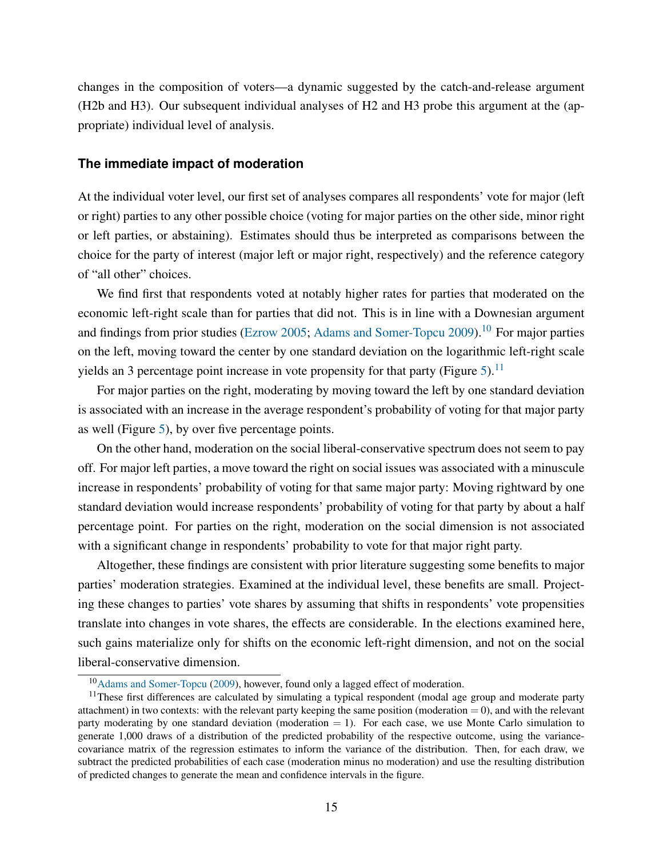changes in the composition of voters—a dynamic suggested by the catch-and-release argument (H2b and H3). Our subsequent individual analyses of H2 and H3 probe this argument at the (appropriate) individual level of analysis.

#### **The immediate impact of moderation**

At the individual voter level, our first set of analyses compares all respondents' vote for major (left or right) parties to any other possible choice (voting for major parties on the other side, minor right or left parties, or abstaining). Estimates should thus be interpreted as comparisons between the choice for the party of interest (major left or major right, respectively) and the reference category of "all other" choices.

We find first that respondents voted at notably higher rates for parties that moderated on the economic left-right scale than for parties that did not. This is in line with a Downesian argument and findings from prior studies [\(Ezrow](#page-28-10) [2005;](#page-28-10) [Adams and Somer-Topcu](#page-26-5) [2009\)](#page-26-5).<sup>[10](#page-16-0)</sup> For major parties on the left, moving toward the center by one standard deviation on the logarithmic left-right scale yields an 3 percentage point increase in vote propensity for that party (Figure [5\)](#page-17-0).<sup>[11](#page-16-1)</sup>

For major parties on the right, moderating by moving toward the left by one standard deviation is associated with an increase in the average respondent's probability of voting for that major party as well (Figure [5\)](#page-17-0), by over five percentage points.

On the other hand, moderation on the social liberal-conservative spectrum does not seem to pay off. For major left parties, a move toward the right on social issues was associated with a minuscule increase in respondents' probability of voting for that same major party: Moving rightward by one standard deviation would increase respondents' probability of voting for that party by about a half percentage point. For parties on the right, moderation on the social dimension is not associated with a significant change in respondents' probability to vote for that major right party.

Altogether, these findings are consistent with prior literature suggesting some benefits to major parties' moderation strategies. Examined at the individual level, these benefits are small. Projecting these changes to parties' vote shares by assuming that shifts in respondents' vote propensities translate into changes in vote shares, the effects are considerable. In the elections examined here, such gains materialize only for shifts on the economic left-right dimension, and not on the social liberal-conservative dimension.

<span id="page-16-1"></span><span id="page-16-0"></span><sup>10</sup>[Adams and Somer-Topcu](#page-26-5) [\(2009\)](#page-26-5), however, found only a lagged effect of moderation.

 $11$ These first differences are calculated by simulating a typical respondent (modal age group and moderate party attachment) in two contexts: with the relevant party keeping the same position (moderation  $= 0$ ), and with the relevant party moderating by one standard deviation (moderation  $= 1$ ). For each case, we use Monte Carlo simulation to generate 1,000 draws of a distribution of the predicted probability of the respective outcome, using the variancecovariance matrix of the regression estimates to inform the variance of the distribution. Then, for each draw, we subtract the predicted probabilities of each case (moderation minus no moderation) and use the resulting distribution of predicted changes to generate the mean and confidence intervals in the figure.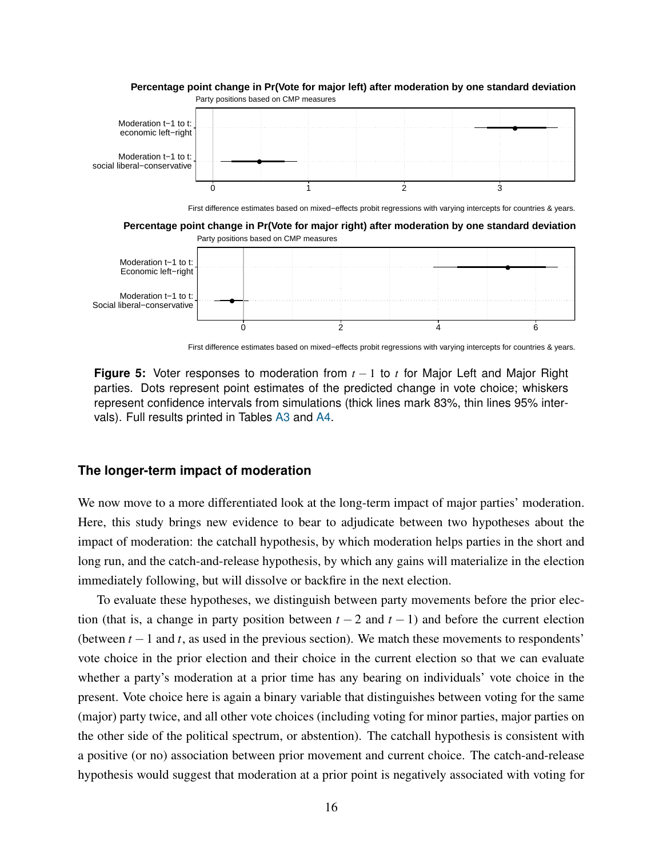<span id="page-17-0"></span>

**Percentage point change in Pr(Vote for major left) after moderation by one standard deviation**

First difference estimates based on mixed−effects probit regressions with varying intercepts for countries & years.

0 2 4 6

**Figure 5:** Voter responses to moderation from *t* − 1 to *t* for Major Left and Major Right parties. Dots represent point estimates of the predicted change in vote choice; whiskers represent confidence intervals from simulations (thick lines mark 83%, thin lines 95% intervals). Full results printed in Tables [A3](#page-37-0) and [A4.](#page-38-0)

#### **The longer-term impact of moderation**

Social liberal−conservative

We now move to a more differentiated look at the long-term impact of major parties' moderation. Here, this study brings new evidence to bear to adjudicate between two hypotheses about the impact of moderation: the catchall hypothesis, by which moderation helps parties in the short and long run, and the catch-and-release hypothesis, by which any gains will materialize in the election immediately following, but will dissolve or backfire in the next election.

To evaluate these hypotheses, we distinguish between party movements before the prior election (that is, a change in party position between  $t - 2$  and  $t - 1$ ) and before the current election (between  $t - 1$  and  $t$ , as used in the previous section). We match these movements to respondents' vote choice in the prior election and their choice in the current election so that we can evaluate whether a party's moderation at a prior time has any bearing on individuals' vote choice in the present. Vote choice here is again a binary variable that distinguishes between voting for the same (major) party twice, and all other vote choices (including voting for minor parties, major parties on the other side of the political spectrum, or abstention). The catchall hypothesis is consistent with a positive (or no) association between prior movement and current choice. The catch-and-release hypothesis would suggest that moderation at a prior point is negatively associated with voting for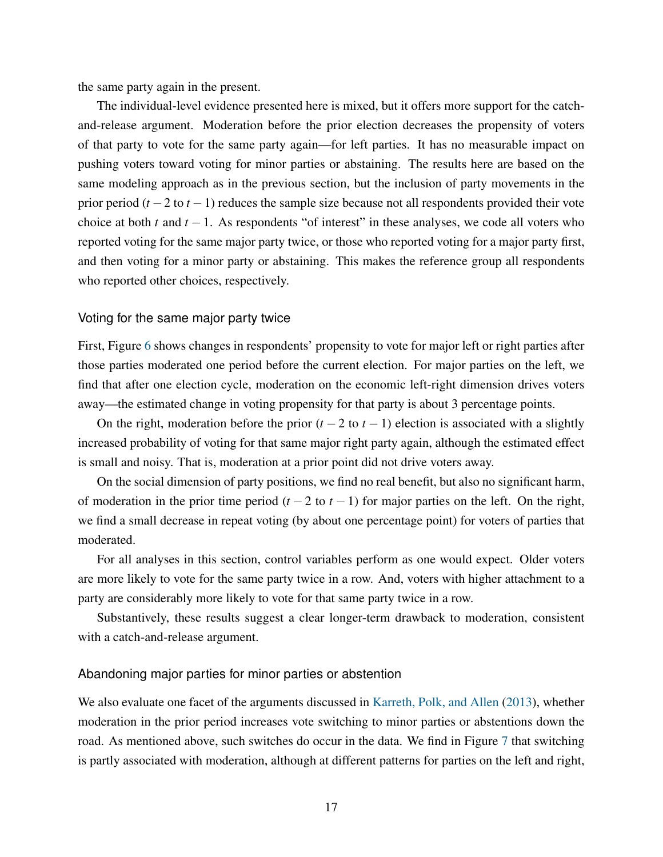the same party again in the present.

The individual-level evidence presented here is mixed, but it offers more support for the catchand-release argument. Moderation before the prior election decreases the propensity of voters of that party to vote for the same party again—for left parties. It has no measurable impact on pushing voters toward voting for minor parties or abstaining. The results here are based on the same modeling approach as in the previous section, but the inclusion of party movements in the prior period (*t* −2 to *t* −1) reduces the sample size because not all respondents provided their vote choice at both *t* and  $t - 1$ . As respondents "of interest" in these analyses, we code all voters who reported voting for the same major party twice, or those who reported voting for a major party first, and then voting for a minor party or abstaining. This makes the reference group all respondents who reported other choices, respectively.

#### Voting for the same major party twice

First, Figure [6](#page-19-0) shows changes in respondents' propensity to vote for major left or right parties after those parties moderated one period before the current election. For major parties on the left, we find that after one election cycle, moderation on the economic left-right dimension drives voters away—the estimated change in voting propensity for that party is about 3 percentage points.

On the right, moderation before the prior  $(t - 2 \text{ to } t - 1)$  election is associated with a slightly increased probability of voting for that same major right party again, although the estimated effect is small and noisy. That is, moderation at a prior point did not drive voters away.

On the social dimension of party positions, we find no real benefit, but also no significant harm, of moderation in the prior time period  $(t - 2$  to  $t - 1)$  for major parties on the left. On the right, we find a small decrease in repeat voting (by about one percentage point) for voters of parties that moderated.

For all analyses in this section, control variables perform as one would expect. Older voters are more likely to vote for the same party twice in a row. And, voters with higher attachment to a party are considerably more likely to vote for that same party twice in a row.

Substantively, these results suggest a clear longer-term drawback to moderation, consistent with a catch-and-release argument.

#### Abandoning major parties for minor parties or abstention

We also evaluate one facet of the arguments discussed in [Karreth, Polk, and Allen](#page-29-5) [\(2013\)](#page-29-5), whether moderation in the prior period increases vote switching to minor parties or abstentions down the road. As mentioned above, such switches do occur in the data. We find in Figure [7](#page-20-0) that switching is partly associated with moderation, although at different patterns for parties on the left and right,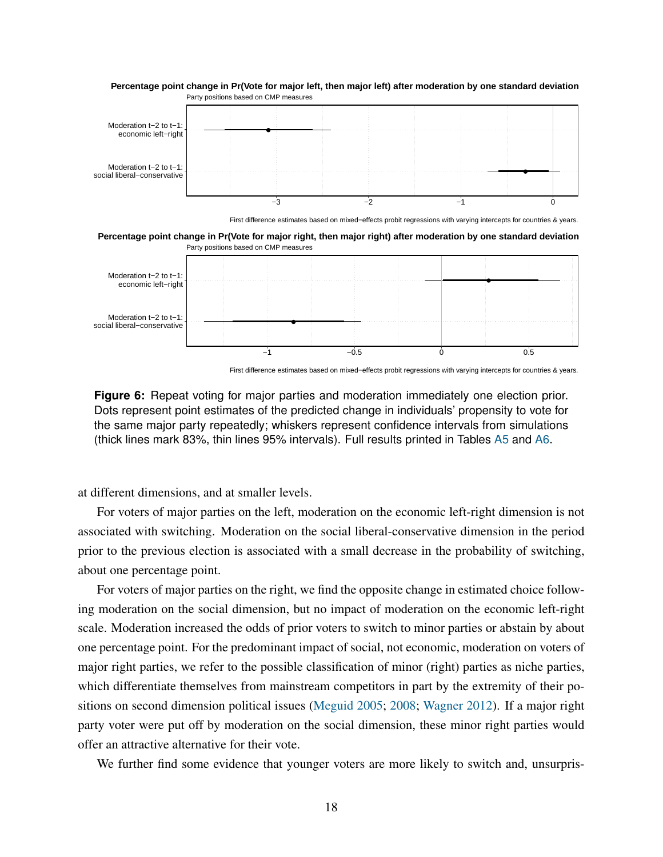<span id="page-19-0"></span>

**Percentage point change in Pr(Vote for major left, then major left) after moderation by one standard deviation**

First difference estimates based on mixed−effects probit regressions with varying intercepts for countries & years.

Party positions based on CMP measures **Percentage point change in Pr(Vote for major right, then major right) after moderation by one standard deviation**



First difference estimates based on mixed−effects probit regressions with varying intercepts for countries & years.

**Figure 6:** Repeat voting for major parties and moderation immediately one election prior. Dots represent point estimates of the predicted change in individuals' propensity to vote for the same major party repeatedly; whiskers represent confidence intervals from simulations (thick lines mark 83%, thin lines 95% intervals). Full results printed in Tables [A5](#page-39-0) and [A6.](#page-40-0)

at different dimensions, and at smaller levels.

For voters of major parties on the left, moderation on the economic left-right dimension is not associated with switching. Moderation on the social liberal-conservative dimension in the period prior to the previous election is associated with a small decrease in the probability of switching, about one percentage point.

For voters of major parties on the right, we find the opposite change in estimated choice following moderation on the social dimension, but no impact of moderation on the economic left-right scale. Moderation increased the odds of prior voters to switch to minor parties or abstain by about one percentage point. For the predominant impact of social, not economic, moderation on voters of major right parties, we refer to the possible classification of minor (right) parties as niche parties, which differentiate themselves from mainstream competitors in part by the extremity of their positions on second dimension political issues [\(Meguid](#page-31-3) [2005;](#page-31-3) [2008;](#page-31-4) [Wagner](#page-32-2) [2012\)](#page-32-2). If a major right party voter were put off by moderation on the social dimension, these minor right parties would offer an attractive alternative for their vote.

We further find some evidence that younger voters are more likely to switch and, unsurpris-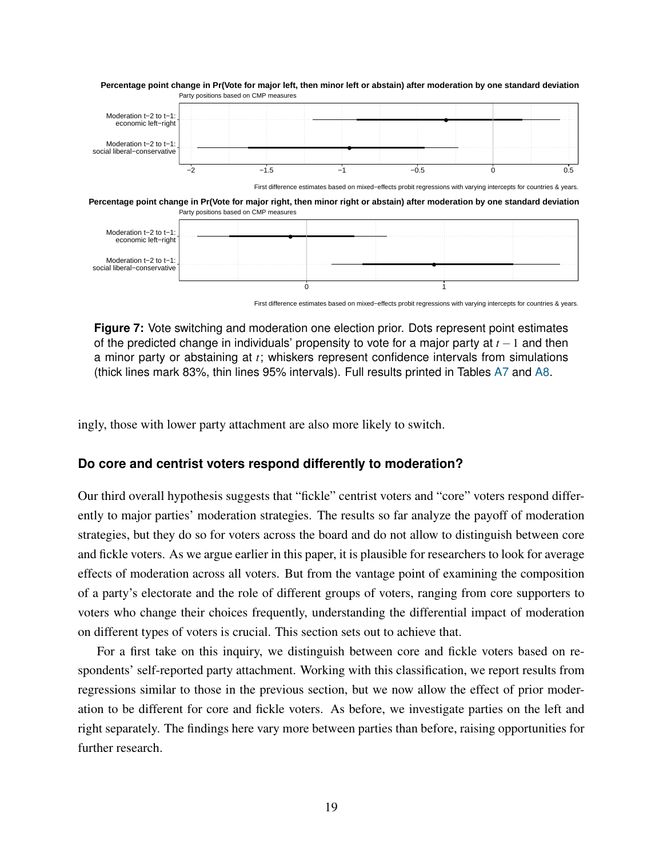<span id="page-20-0"></span>

First difference estimates based on mixed−effects probit regressions with varying intercepts for countries & years.

**Figure 7:** Vote switching and moderation one election prior. Dots represent point estimates of the predicted change in individuals' propensity to vote for a major party at *t* −1 and then a minor party or abstaining at *t*; whiskers represent confidence intervals from simulations (thick lines mark 83%, thin lines 95% intervals). Full results printed in Tables [A7](#page-41-0) and [A8.](#page-42-0)

ingly, those with lower party attachment are also more likely to switch.

#### **Do core and centrist voters respond differently to moderation?**

Our third overall hypothesis suggests that "fickle" centrist voters and "core" voters respond differently to major parties' moderation strategies. The results so far analyze the payoff of moderation strategies, but they do so for voters across the board and do not allow to distinguish between core and fickle voters. As we argue earlier in this paper, it is plausible for researchers to look for average effects of moderation across all voters. But from the vantage point of examining the composition of a party's electorate and the role of different groups of voters, ranging from core supporters to voters who change their choices frequently, understanding the differential impact of moderation on different types of voters is crucial. This section sets out to achieve that.

For a first take on this inquiry, we distinguish between core and fickle voters based on respondents' self-reported party attachment. Working with this classification, we report results from regressions similar to those in the previous section, but we now allow the effect of prior moderation to be different for core and fickle voters. As before, we investigate parties on the left and right separately. The findings here vary more between parties than before, raising opportunities for further research.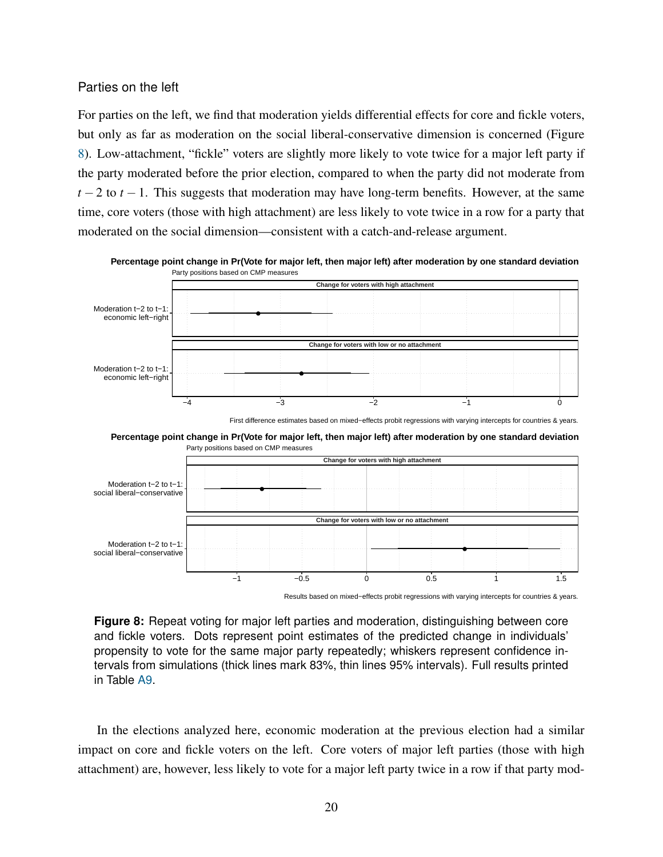#### Parties on the left

social liberal−conservative

For parties on the left, we find that moderation yields differential effects for core and fickle voters, but only as far as moderation on the social liberal-conservative dimension is concerned (Figure [8\)](#page-21-0). Low-attachment, "fickle" voters are slightly more likely to vote twice for a major left party if the party moderated before the prior election, compared to when the party did not moderate from  $t-2$  to  $t-1$ . This suggests that moderation may have long-term benefits. However, at the same time, core voters (those with high attachment) are less likely to vote twice in a row for a party that moderated on the social dimension—consistent with a catch-and-release argument.

<span id="page-21-0"></span>

**Percentage point change in Pr(Vote for major left, then major left) after moderation by one standard deviation**

**Figure 8:** Repeat voting for major left parties and moderation, distinguishing between core and fickle voters. Dots represent point estimates of the predicted change in individuals' propensity to vote for the same major party repeatedly; whiskers represent confidence intervals from simulations (thick lines mark 83%, thin lines 95% intervals). Full results printed in Table [A9.](#page-43-0)

●

−1 −0.5 0 0.5 1 1.5

Results based on mixed−effects probit regressions with varying intercepts for countries & years.

In the elections analyzed here, economic moderation at the previous election had a similar impact on core and fickle voters on the left. Core voters of major left parties (those with high attachment) are, however, less likely to vote for a major left party twice in a row if that party mod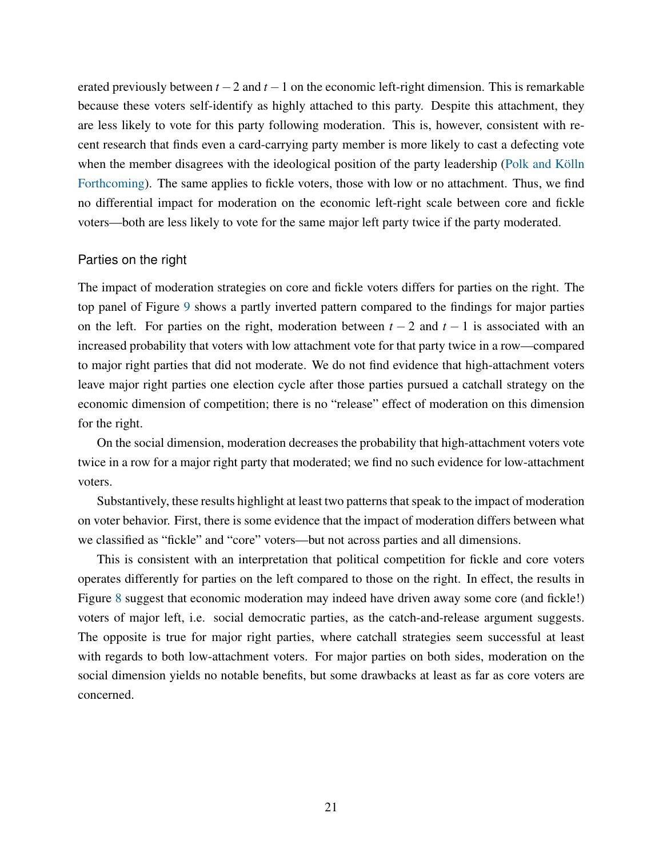erated previously between *t* −2 and *t* −1 on the economic left-right dimension. This is remarkable because these voters self-identify as highly attached to this party. Despite this attachment, they are less likely to vote for this party following moderation. This is, however, consistent with recent research that finds even a card-carrying party member is more likely to cast a defecting vote when the member disagrees with the ideological position of the party leadership (Polk and Kölln [Forthcoming\)](#page-31-16). The same applies to fickle voters, those with low or no attachment. Thus, we find no differential impact for moderation on the economic left-right scale between core and fickle voters—both are less likely to vote for the same major left party twice if the party moderated.

#### Parties on the right

The impact of moderation strategies on core and fickle voters differs for parties on the right. The top panel of Figure [9](#page-23-0) shows a partly inverted pattern compared to the findings for major parties on the left. For parties on the right, moderation between  $t - 2$  and  $t - 1$  is associated with an increased probability that voters with low attachment vote for that party twice in a row—compared to major right parties that did not moderate. We do not find evidence that high-attachment voters leave major right parties one election cycle after those parties pursued a catchall strategy on the economic dimension of competition; there is no "release" effect of moderation on this dimension for the right.

On the social dimension, moderation decreases the probability that high-attachment voters vote twice in a row for a major right party that moderated; we find no such evidence for low-attachment voters.

Substantively, these results highlight at least two patterns that speak to the impact of moderation on voter behavior. First, there is some evidence that the impact of moderation differs between what we classified as "fickle" and "core" voters—but not across parties and all dimensions.

This is consistent with an interpretation that political competition for fickle and core voters operates differently for parties on the left compared to those on the right. In effect, the results in Figure [8](#page-21-0) suggest that economic moderation may indeed have driven away some core (and fickle!) voters of major left, i.e. social democratic parties, as the catch-and-release argument suggests. The opposite is true for major right parties, where catchall strategies seem successful at least with regards to both low-attachment voters. For major parties on both sides, moderation on the social dimension yields no notable benefits, but some drawbacks at least as far as core voters are concerned.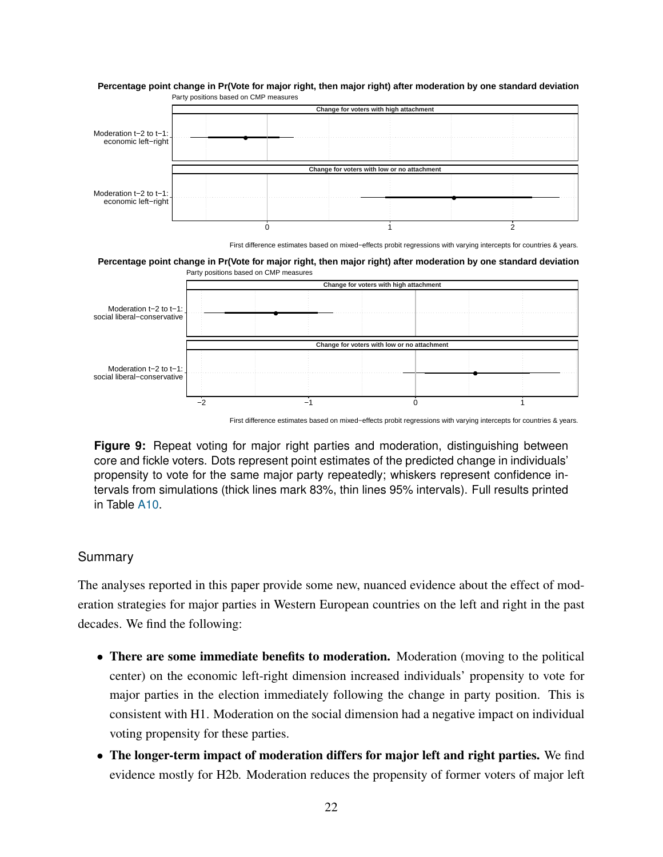

<span id="page-23-0"></span>Party positions based on CMP measures **Percentage point change in Pr(Vote for major right, then major right) after moderation by one standard deviation**

First difference estimates based on mixed−effects probit regressions with varying intercepts for countries & years.

Party positions based on CMP measures **Percentage point change in Pr(Vote for major right, then major right) after moderation by one standard deviation**



First difference estimates based on mixed−effects probit regressions with varying intercepts for countries & years.

**Figure 9:** Repeat voting for major right parties and moderation, distinguishing between core and fickle voters. Dots represent point estimates of the predicted change in individuals' propensity to vote for the same major party repeatedly; whiskers represent confidence intervals from simulations (thick lines mark 83%, thin lines 95% intervals). Full results printed in Table [A10.](#page-44-0)

#### Summary

The analyses reported in this paper provide some new, nuanced evidence about the effect of moderation strategies for major parties in Western European countries on the left and right in the past decades. We find the following:

- There are some immediate benefits to moderation. Moderation (moving to the political center) on the economic left-right dimension increased individuals' propensity to vote for major parties in the election immediately following the change in party position. This is consistent with H1. Moderation on the social dimension had a negative impact on individual voting propensity for these parties.
- The longer-term impact of moderation differs for major left and right parties. We find evidence mostly for H2b. Moderation reduces the propensity of former voters of major left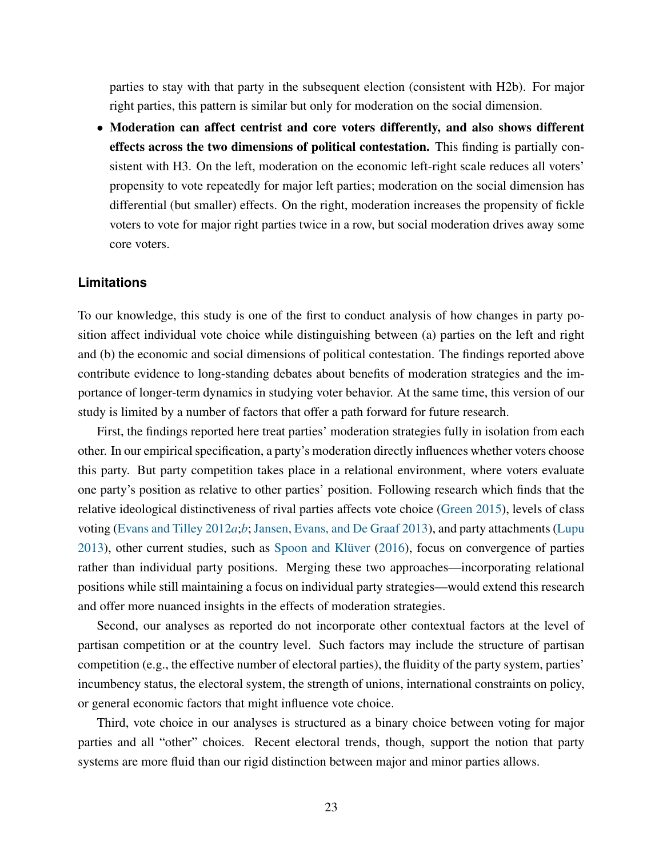parties to stay with that party in the subsequent election (consistent with H2b). For major right parties, this pattern is similar but only for moderation on the social dimension.

• Moderation can affect centrist and core voters differently, and also shows different effects across the two dimensions of political contestation. This finding is partially consistent with H3. On the left, moderation on the economic left-right scale reduces all voters' propensity to vote repeatedly for major left parties; moderation on the social dimension has differential (but smaller) effects. On the right, moderation increases the propensity of fickle voters to vote for major right parties twice in a row, but social moderation drives away some core voters.

#### **Limitations**

To our knowledge, this study is one of the first to conduct analysis of how changes in party position affect individual vote choice while distinguishing between (a) parties on the left and right and (b) the economic and social dimensions of political contestation. The findings reported above contribute evidence to long-standing debates about benefits of moderation strategies and the importance of longer-term dynamics in studying voter behavior. At the same time, this version of our study is limited by a number of factors that offer a path forward for future research.

First, the findings reported here treat parties' moderation strategies fully in isolation from each other. In our empirical specification, a party's moderation directly influences whether voters choose this party. But party competition takes place in a relational environment, where voters evaluate one party's position as relative to other parties' position. Following research which finds that the relative ideological distinctiveness of rival parties affects vote choice [\(Green](#page-29-10) [2015\)](#page-29-10), levels of class voting [\(Evans and Tilley](#page-28-3) [2012](#page-28-3)*a*;*[b](#page-28-15)*; [Jansen, Evans, and De Graaf](#page-29-13) [2013\)](#page-29-13), and party attachments [\(Lupu](#page-30-7)  $2013$ ), other current studies, such as Spoon and Klüver  $(2016)$ , focus on convergence of parties rather than individual party positions. Merging these two approaches—incorporating relational positions while still maintaining a focus on individual party strategies—would extend this research and offer more nuanced insights in the effects of moderation strategies.

Second, our analyses as reported do not incorporate other contextual factors at the level of partisan competition or at the country level. Such factors may include the structure of partisan competition (e.g., the effective number of electoral parties), the fluidity of the party system, parties' incumbency status, the electoral system, the strength of unions, international constraints on policy, or general economic factors that might influence vote choice.

Third, vote choice in our analyses is structured as a binary choice between voting for major parties and all "other" choices. Recent electoral trends, though, support the notion that party systems are more fluid than our rigid distinction between major and minor parties allows.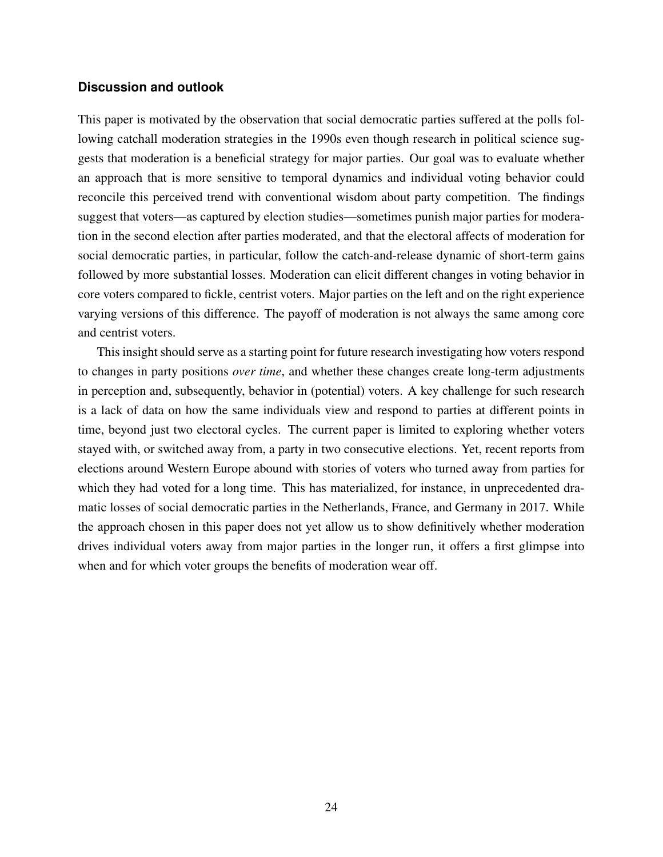#### **Discussion and outlook**

This paper is motivated by the observation that social democratic parties suffered at the polls following catchall moderation strategies in the 1990s even though research in political science suggests that moderation is a beneficial strategy for major parties. Our goal was to evaluate whether an approach that is more sensitive to temporal dynamics and individual voting behavior could reconcile this perceived trend with conventional wisdom about party competition. The findings suggest that voters—as captured by election studies—sometimes punish major parties for moderation in the second election after parties moderated, and that the electoral affects of moderation for social democratic parties, in particular, follow the catch-and-release dynamic of short-term gains followed by more substantial losses. Moderation can elicit different changes in voting behavior in core voters compared to fickle, centrist voters. Major parties on the left and on the right experience varying versions of this difference. The payoff of moderation is not always the same among core and centrist voters.

This insight should serve as a starting point for future research investigating how voters respond to changes in party positions *over time*, and whether these changes create long-term adjustments in perception and, subsequently, behavior in (potential) voters. A key challenge for such research is a lack of data on how the same individuals view and respond to parties at different points in time, beyond just two electoral cycles. The current paper is limited to exploring whether voters stayed with, or switched away from, a party in two consecutive elections. Yet, recent reports from elections around Western Europe abound with stories of voters who turned away from parties for which they had voted for a long time. This has materialized, for instance, in unprecedented dramatic losses of social democratic parties in the Netherlands, France, and Germany in 2017. While the approach chosen in this paper does not yet allow us to show definitively whether moderation drives individual voters away from major parties in the longer run, it offers a first glimpse into when and for which voter groups the benefits of moderation wear off.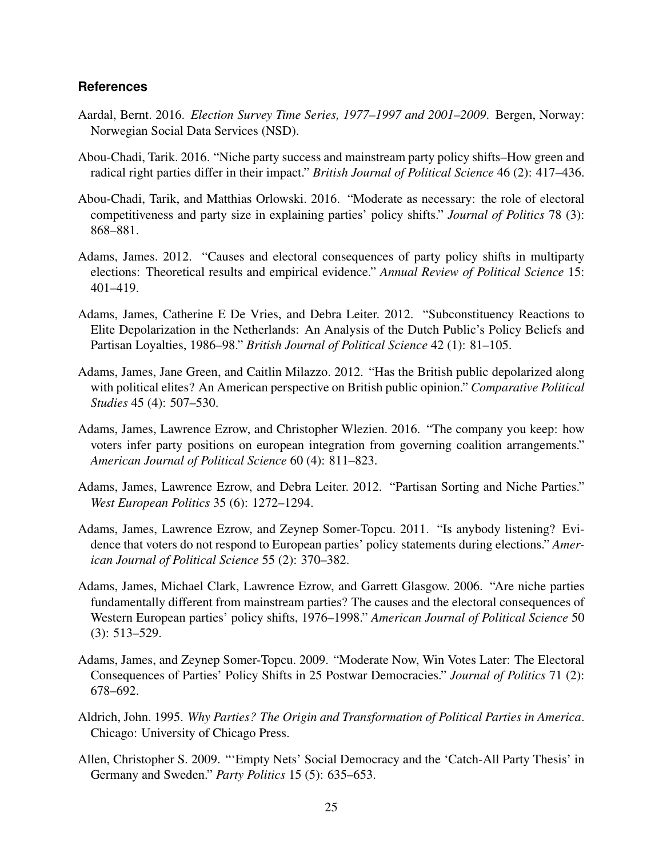#### **References**

- <span id="page-26-12"></span>Aardal, Bernt. 2016. *Election Survey Time Series, 1977–1997 and 2001–2009*. Bergen, Norway: Norwegian Social Data Services (NSD).
- <span id="page-26-11"></span>Abou-Chadi, Tarik. 2016. "Niche party success and mainstream party policy shifts–How green and radical right parties differ in their impact." *British Journal of Political Science* 46 (2): 417–436.
- <span id="page-26-2"></span>Abou-Chadi, Tarik, and Matthias Orlowski. 2016. "Moderate as necessary: the role of electoral competitiveness and party size in explaining parties' policy shifts." *Journal of Politics* 78 (3): 868–881.
- <span id="page-26-3"></span>Adams, James. 2012. "Causes and electoral consequences of party policy shifts in multiparty elections: Theoretical results and empirical evidence." *Annual Review of Political Science* 15: 401–419.
- <span id="page-26-10"></span>Adams, James, Catherine E De Vries, and Debra Leiter. 2012. "Subconstituency Reactions to Elite Depolarization in the Netherlands: An Analysis of the Dutch Public's Policy Beliefs and Partisan Loyalties, 1986–98." *British Journal of Political Science* 42 (1): 81–105.
- <span id="page-26-9"></span>Adams, James, Jane Green, and Caitlin Milazzo. 2012. "Has the British public depolarized along with political elites? An American perspective on British public opinion." *Comparative Political Studies* 45 (4): 507–530.
- <span id="page-26-4"></span>Adams, James, Lawrence Ezrow, and Christopher Wlezien. 2016. "The company you keep: how voters infer party positions on european integration from governing coalition arrangements." *American Journal of Political Science* 60 (4): 811–823.
- <span id="page-26-8"></span>Adams, James, Lawrence Ezrow, and Debra Leiter. 2012. "Partisan Sorting and Niche Parties." *West European Politics* 35 (6): 1272–1294.
- <span id="page-26-0"></span>Adams, James, Lawrence Ezrow, and Zeynep Somer-Topcu. 2011. "Is anybody listening? Evidence that voters do not respond to European parties' policy statements during elections." *American Journal of Political Science* 55 (2): 370–382.
- <span id="page-26-1"></span>Adams, James, Michael Clark, Lawrence Ezrow, and Garrett Glasgow. 2006. "Are niche parties fundamentally different from mainstream parties? The causes and the electoral consequences of Western European parties' policy shifts, 1976–1998." *American Journal of Political Science* 50 (3): 513–529.
- <span id="page-26-5"></span>Adams, James, and Zeynep Somer-Topcu. 2009. "Moderate Now, Win Votes Later: The Electoral Consequences of Parties' Policy Shifts in 25 Postwar Democracies." *Journal of Politics* 71 (2): 678–692.
- <span id="page-26-7"></span>Aldrich, John. 1995. *Why Parties? The Origin and Transformation of Political Parties in America*. Chicago: University of Chicago Press.
- <span id="page-26-6"></span>Allen, Christopher S. 2009. "'Empty Nets' Social Democracy and the 'Catch-All Party Thesis' in Germany and Sweden." *Party Politics* 15 (5): 635–653.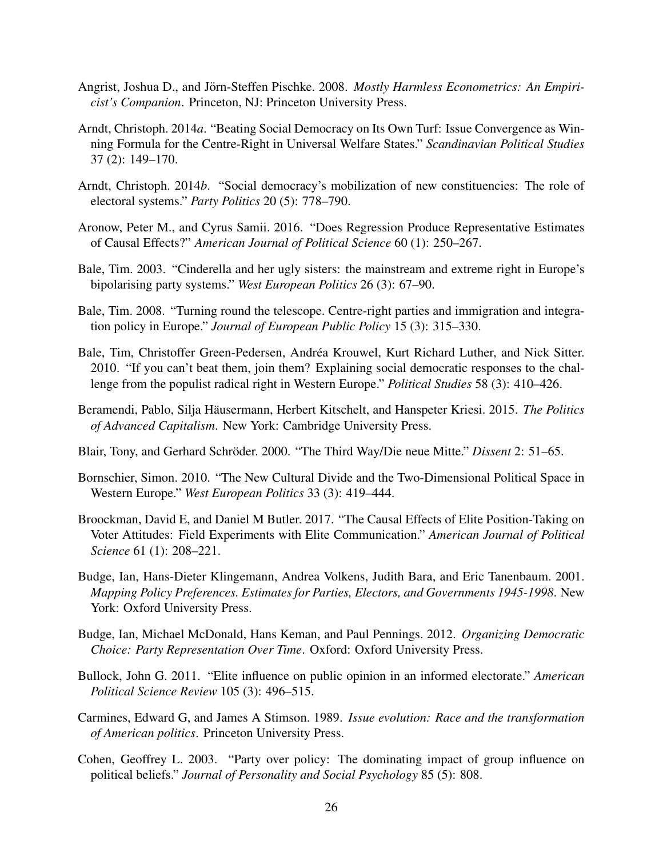- <span id="page-27-14"></span>Angrist, Joshua D., and Jörn-Steffen Pischke. 2008. Mostly Harmless Econometrics: An Empiri*cist's Companion*. Princeton, NJ: Princeton University Press.
- <span id="page-27-7"></span>Arndt, Christoph. 2014*a*. "Beating Social Democracy on Its Own Turf: Issue Convergence as Winning Formula for the Centre-Right in Universal Welfare States." *Scandinavian Political Studies* 37 (2): 149–170.
- <span id="page-27-6"></span>Arndt, Christoph. 2014*b*. "Social democracy's mobilization of new constituencies: The role of electoral systems." *Party Politics* 20 (5): 778–790.
- <span id="page-27-15"></span>Aronow, Peter M., and Cyrus Samii. 2016. "Does Regression Produce Representative Estimates of Causal Effects?" *American Journal of Political Science* 60 (1): 250–267.
- <span id="page-27-10"></span>Bale, Tim. 2003. "Cinderella and her ugly sisters: the mainstream and extreme right in Europe's bipolarising party systems." *West European Politics* 26 (3): 67–90.
- <span id="page-27-11"></span>Bale, Tim. 2008. "Turning round the telescope. Centre-right parties and immigration and integration policy in Europe." *Journal of European Public Policy* 15 (3): 315–330.
- <span id="page-27-12"></span>Bale, Tim, Christoffer Green-Pedersen, Andrea Krouwel, Kurt Richard Luther, and Nick Sitter. ´ 2010. "If you can't beat them, join them? Explaining social democratic responses to the challenge from the populist radical right in Western Europe." *Political Studies* 58 (3): 410–426.
- <span id="page-27-9"></span>Beramendi, Pablo, Silja Häusermann, Herbert Kitschelt, and Hanspeter Kriesi. 2015. The Politics *of Advanced Capitalism*. New York: Cambridge University Press.
- <span id="page-27-0"></span>Blair, Tony, and Gerhard Schröder. 2000. "The Third Way/Die neue Mitte." *Dissent* 2: 51–65.
- <span id="page-27-8"></span>Bornschier, Simon. 2010. "The New Cultural Divide and the Two-Dimensional Political Space in Western Europe." *West European Politics* 33 (3): 419–444.
- <span id="page-27-4"></span>Broockman, David E, and Daniel M Butler. 2017. "The Causal Effects of Elite Position-Taking on Voter Attitudes: Field Experiments with Elite Communication." *American Journal of Political Science* 61 (1): 208–221.
- <span id="page-27-13"></span>Budge, Ian, Hans-Dieter Klingemann, Andrea Volkens, Judith Bara, and Eric Tanenbaum. 2001. *Mapping Policy Preferences. Estimates for Parties, Electors, and Governments 1945-1998*. New York: Oxford University Press.
- <span id="page-27-1"></span>Budge, Ian, Michael McDonald, Hans Keman, and Paul Pennings. 2012. *Organizing Democratic Choice: Party Representation Over Time*. Oxford: Oxford University Press.
- <span id="page-27-3"></span>Bullock, John G. 2011. "Elite influence on public opinion in an informed electorate." *American Political Science Review* 105 (3): 496–515.
- <span id="page-27-5"></span>Carmines, Edward G, and James A Stimson. 1989. *Issue evolution: Race and the transformation of American politics*. Princeton University Press.
- <span id="page-27-2"></span>Cohen, Geoffrey L. 2003. "Party over policy: The dominating impact of group influence on political beliefs." *Journal of Personality and Social Psychology* 85 (5): 808.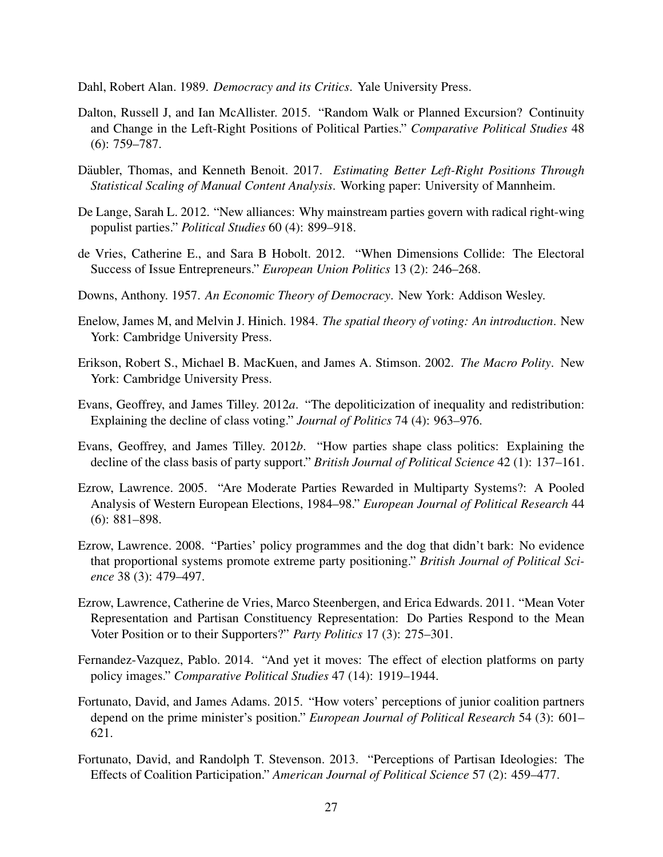<span id="page-28-0"></span>Dahl, Robert Alan. 1989. *Democracy and its Critics*. Yale University Press.

- <span id="page-28-6"></span>Dalton, Russell J, and Ian McAllister. 2015. "Random Walk or Planned Excursion? Continuity and Change in the Left-Right Positions of Political Parties." *Comparative Political Studies* 48 (6): 759–787.
- <span id="page-28-14"></span>Däubler, Thomas, and Kenneth Benoit. 2017. Estimating Better Left-Right Positions Through *Statistical Scaling of Manual Content Analysis*. Working paper: University of Mannheim.
- <span id="page-28-13"></span>De Lange, Sarah L. 2012. "New alliances: Why mainstream parties govern with radical right-wing populist parties." *Political Studies* 60 (4): 899–918.
- <span id="page-28-4"></span>de Vries, Catherine E., and Sara B Hobolt. 2012. "When Dimensions Collide: The Electoral Success of Issue Entrepreneurs." *European Union Politics* 13 (2): 246–268.
- <span id="page-28-1"></span>Downs, Anthony. 1957. *An Economic Theory of Democracy*. New York: Addison Wesley.
- <span id="page-28-2"></span>Enelow, James M, and Melvin J. Hinich. 1984. *The spatial theory of voting: An introduction*. New York: Cambridge University Press.
- <span id="page-28-12"></span>Erikson, Robert S., Michael B. MacKuen, and James A. Stimson. 2002. *The Macro Polity*. New York: Cambridge University Press.
- <span id="page-28-3"></span>Evans, Geoffrey, and James Tilley. 2012*a*. "The depoliticization of inequality and redistribution: Explaining the decline of class voting." *Journal of Politics* 74 (4): 963–976.
- <span id="page-28-15"></span>Evans, Geoffrey, and James Tilley. 2012*b*. "How parties shape class politics: Explaining the decline of the class basis of party support." *British Journal of Political Science* 42 (1): 137–161.
- <span id="page-28-10"></span>Ezrow, Lawrence. 2005. "Are Moderate Parties Rewarded in Multiparty Systems?: A Pooled Analysis of Western European Elections, 1984–98." *European Journal of Political Research* 44 (6): 881–898.
- <span id="page-28-11"></span>Ezrow, Lawrence. 2008. "Parties' policy programmes and the dog that didn't bark: No evidence that proportional systems promote extreme party positioning." *British Journal of Political Science* 38 (3): 479–497.
- <span id="page-28-5"></span>Ezrow, Lawrence, Catherine de Vries, Marco Steenbergen, and Erica Edwards. 2011. "Mean Voter Representation and Partisan Constituency Representation: Do Parties Respond to the Mean Voter Position or to their Supporters?" *Party Politics* 17 (3): 275–301.
- <span id="page-28-7"></span>Fernandez-Vazquez, Pablo. 2014. "And yet it moves: The effect of election platforms on party policy images." *Comparative Political Studies* 47 (14): 1919–1944.
- <span id="page-28-9"></span>Fortunato, David, and James Adams. 2015. "How voters' perceptions of junior coalition partners depend on the prime minister's position." *European Journal of Political Research* 54 (3): 601– 621.
- <span id="page-28-8"></span>Fortunato, David, and Randolph T. Stevenson. 2013. "Perceptions of Partisan Ideologies: The Effects of Coalition Participation." *American Journal of Political Science* 57 (2): 459–477.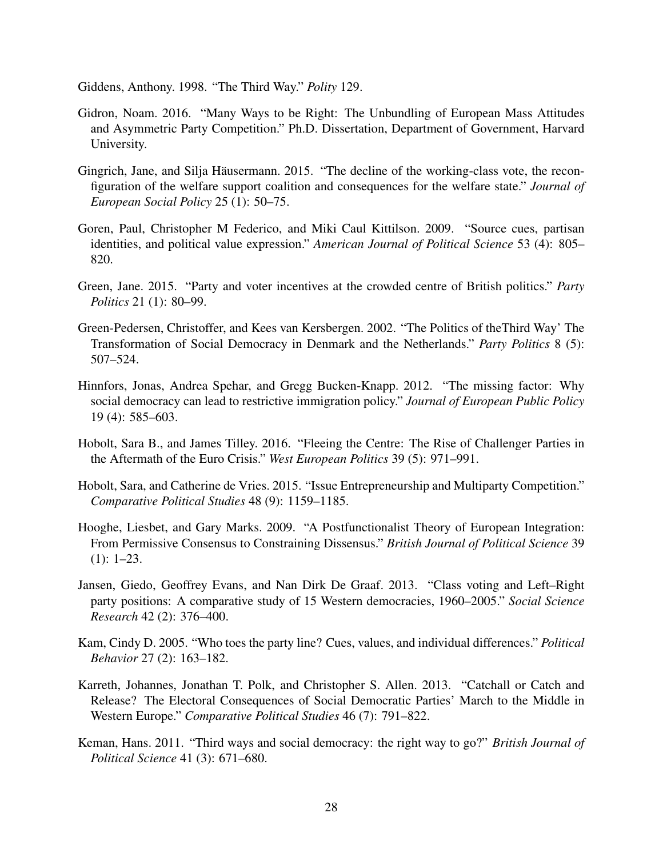<span id="page-29-8"></span>Giddens, Anthony. 1998. "The Third Way." *Polity* 129.

- <span id="page-29-9"></span>Gidron, Noam. 2016. "Many Ways to be Right: The Unbundling of European Mass Attitudes and Asymmetric Party Competition." Ph.D. Dissertation, Department of Government, Harvard University.
- <span id="page-29-7"></span>Gingrich, Jane, and Silja Häusermann. 2015. "The decline of the working-class vote, the reconfiguration of the welfare support coalition and consequences for the welfare state." *Journal of European Social Policy* 25 (1): 50–75.
- <span id="page-29-4"></span>Goren, Paul, Christopher M Federico, and Miki Caul Kittilson. 2009. "Source cues, partisan identities, and political value expression." *American Journal of Political Science* 53 (4): 805– 820.
- <span id="page-29-10"></span>Green, Jane. 2015. "Party and voter incentives at the crowded centre of British politics." *Party Politics* 21 (1): 80–99.
- <span id="page-29-6"></span>Green-Pedersen, Christoffer, and Kees van Kersbergen. 2002. "The Politics of theThird Way' The Transformation of Social Democracy in Denmark and the Netherlands." *Party Politics* 8 (5): 507–524.
- <span id="page-29-12"></span>Hinnfors, Jonas, Andrea Spehar, and Gregg Bucken-Knapp. 2012. "The missing factor: Why social democracy can lead to restrictive immigration policy." *Journal of European Public Policy* 19 (4): 585–603.
- <span id="page-29-2"></span>Hobolt, Sara B., and James Tilley. 2016. "Fleeing the Centre: The Rise of Challenger Parties in the Aftermath of the Euro Crisis." *West European Politics* 39 (5): 971–991.
- <span id="page-29-1"></span>Hobolt, Sara, and Catherine de Vries. 2015. "Issue Entrepreneurship and Multiparty Competition." *Comparative Political Studies* 48 (9): 1159–1185.
- <span id="page-29-11"></span>Hooghe, Liesbet, and Gary Marks. 2009. "A Postfunctionalist Theory of European Integration: From Permissive Consensus to Constraining Dissensus." *British Journal of Political Science* 39 (1): 1–23.
- <span id="page-29-13"></span>Jansen, Giedo, Geoffrey Evans, and Nan Dirk De Graaf. 2013. "Class voting and Left–Right party positions: A comparative study of 15 Western democracies, 1960–2005." *Social Science Research* 42 (2): 376–400.
- <span id="page-29-3"></span>Kam, Cindy D. 2005. "Who toes the party line? Cues, values, and individual differences." *Political Behavior* 27 (2): 163–182.
- <span id="page-29-5"></span>Karreth, Johannes, Jonathan T. Polk, and Christopher S. Allen. 2013. "Catchall or Catch and Release? The Electoral Consequences of Social Democratic Parties' March to the Middle in Western Europe." *Comparative Political Studies* 46 (7): 791–822.
- <span id="page-29-0"></span>Keman, Hans. 2011. "Third ways and social democracy: the right way to go?" *British Journal of Political Science* 41 (3): 671–680.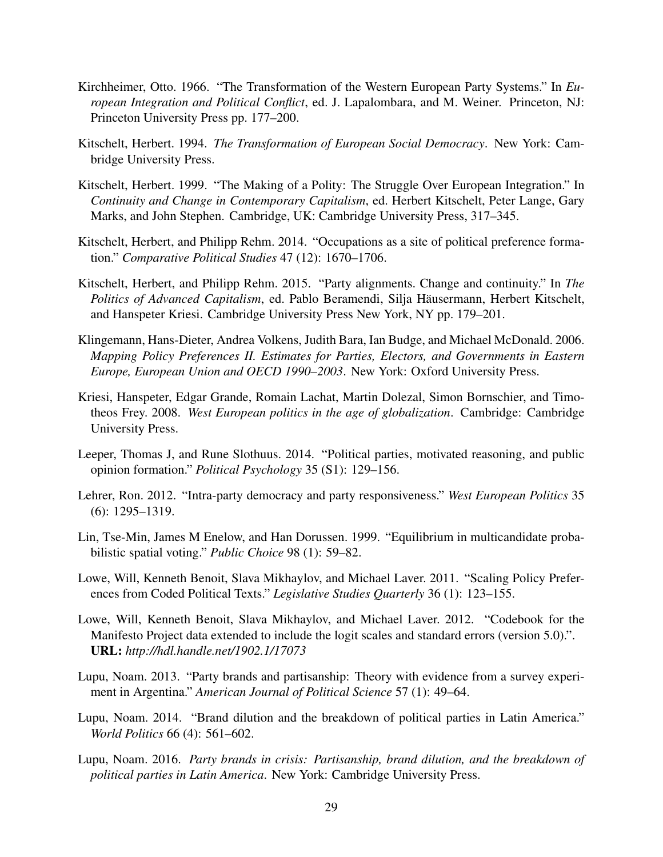- <span id="page-30-2"></span>Kirchheimer, Otto. 1966. "The Transformation of the Western European Party Systems." In *European Integration and Political Conflict*, ed. J. Lapalombara, and M. Weiner. Princeton, NJ: Princeton University Press pp. 177–200.
- <span id="page-30-5"></span>Kitschelt, Herbert. 1994. *The Transformation of European Social Democracy*. New York: Cambridge University Press.
- <span id="page-30-6"></span>Kitschelt, Herbert. 1999. "The Making of a Polity: The Struggle Over European Integration." In *Continuity and Change in Contemporary Capitalism*, ed. Herbert Kitschelt, Peter Lange, Gary Marks, and John Stephen. Cambridge, UK: Cambridge University Press, 317–345.
- <span id="page-30-11"></span>Kitschelt, Herbert, and Philipp Rehm. 2014. "Occupations as a site of political preference formation." *Comparative Political Studies* 47 (12): 1670–1706.
- <span id="page-30-4"></span>Kitschelt, Herbert, and Philipp Rehm. 2015. "Party alignments. Change and continuity." In *The Politics of Advanced Capitalism*, ed. Pablo Beramendi, Silja Hausermann, Herbert Kitschelt, ¨ and Hanspeter Kriesi. Cambridge University Press New York, NY pp. 179–201.
- <span id="page-30-12"></span>Klingemann, Hans-Dieter, Andrea Volkens, Judith Bara, Ian Budge, and Michael McDonald. 2006. *Mapping Policy Preferences II. Estimates for Parties, Electors, and Governments in Eastern Europe, European Union and OECD 1990–2003*. New York: Oxford University Press.
- <span id="page-30-10"></span>Kriesi, Hanspeter, Edgar Grande, Romain Lachat, Martin Dolezal, Simon Bornschier, and Timotheos Frey. 2008. *West European politics in the age of globalization*. Cambridge: Cambridge University Press.
- <span id="page-30-3"></span>Leeper, Thomas J, and Rune Slothuus. 2014. "Political parties, motivated reasoning, and public opinion formation." *Political Psychology* 35 (S1): 129–156.
- <span id="page-30-0"></span>Lehrer, Ron. 2012. "Intra-party democracy and party responsiveness." *West European Politics* 35 (6): 1295–1319.
- <span id="page-30-1"></span>Lin, Tse-Min, James M Enelow, and Han Dorussen. 1999. "Equilibrium in multicandidate probabilistic spatial voting." *Public Choice* 98 (1): 59–82.
- <span id="page-30-14"></span>Lowe, Will, Kenneth Benoit, Slava Mikhaylov, and Michael Laver. 2011. "Scaling Policy Preferences from Coded Political Texts." *Legislative Studies Quarterly* 36 (1): 123–155.
- <span id="page-30-13"></span>Lowe, Will, Kenneth Benoit, Slava Mikhaylov, and Michael Laver. 2012. "Codebook for the Manifesto Project data extended to include the logit scales and standard errors (version 5.0).". URL: *http://hdl.handle.net/1902.1/17073*
- <span id="page-30-7"></span>Lupu, Noam. 2013. "Party brands and partisanship: Theory with evidence from a survey experiment in Argentina." *American Journal of Political Science* 57 (1): 49–64.
- <span id="page-30-8"></span>Lupu, Noam. 2014. "Brand dilution and the breakdown of political parties in Latin America." *World Politics* 66 (4): 561–602.
- <span id="page-30-9"></span>Lupu, Noam. 2016. *Party brands in crisis: Partisanship, brand dilution, and the breakdown of political parties in Latin America*. New York: Cambridge University Press.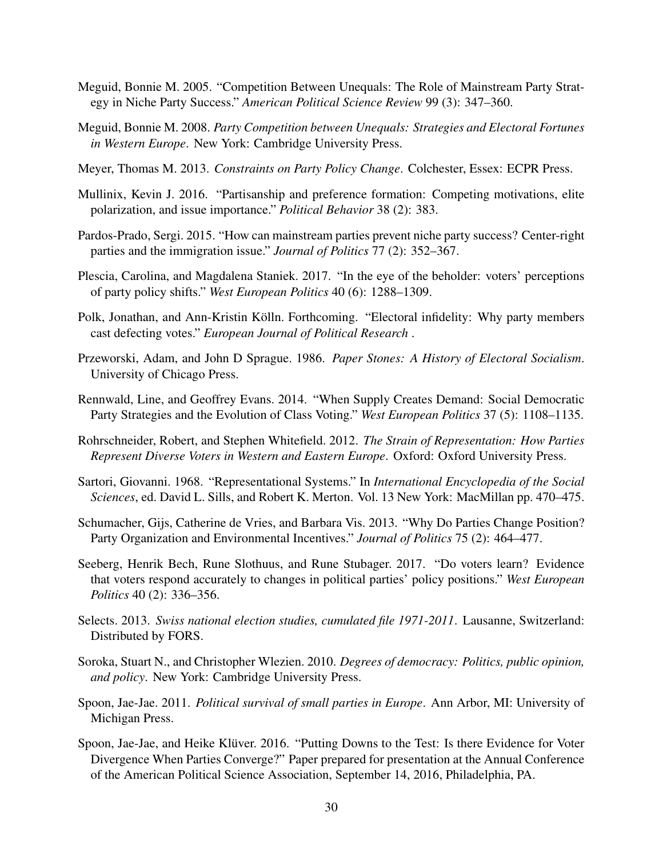- <span id="page-31-3"></span>Meguid, Bonnie M. 2005. "Competition Between Unequals: The Role of Mainstream Party Strategy in Niche Party Success." *American Political Science Review* 99 (3): 347–360.
- <span id="page-31-4"></span>Meguid, Bonnie M. 2008. *Party Competition between Unequals: Strategies and Electoral Fortunes in Western Europe*. New York: Cambridge University Press.
- <span id="page-31-8"></span>Meyer, Thomas M. 2013. *Constraints on Party Policy Change*. Colchester, Essex: ECPR Press.
- <span id="page-31-10"></span>Mullinix, Kevin J. 2016. "Partisanship and preference formation: Competing motivations, elite polarization, and issue importance." *Political Behavior* 38 (2): 383.
- <span id="page-31-5"></span>Pardos-Prado, Sergi. 2015. "How can mainstream parties prevent niche party success? Center-right parties and the immigration issue." *Journal of Politics* 77 (2): 352–367.
- <span id="page-31-14"></span>Plescia, Carolina, and Magdalena Staniek. 2017. "In the eye of the beholder: voters' perceptions of party policy shifts." *West European Politics* 40 (6): 1288–1309.
- <span id="page-31-16"></span>Polk, Jonathan, and Ann-Kristin Kölln. Forthcoming. "Electoral infidelity: Why party members cast defecting votes." *European Journal of Political Research* .
- <span id="page-31-13"></span>Przeworski, Adam, and John D Sprague. 1986. *Paper Stones: A History of Electoral Socialism*. University of Chicago Press.
- <span id="page-31-11"></span>Rennwald, Line, and Geoffrey Evans. 2014. "When Supply Creates Demand: Social Democratic Party Strategies and the Evolution of Class Voting." *West European Politics* 37 (5): 1108–1135.
- <span id="page-31-2"></span>Rohrschneider, Robert, and Stephen Whitefield. 2012. *The Strain of Representation: How Parties Represent Diverse Voters in Western and Eastern Europe*. Oxford: Oxford University Press.
- <span id="page-31-0"></span>Sartori, Giovanni. 1968. "Representational Systems." In *International Encyclopedia of the Social Sciences*, ed. David L. Sills, and Robert K. Merton. Vol. 13 New York: MacMillan pp. 470–475.
- <span id="page-31-7"></span>Schumacher, Gijs, Catherine de Vries, and Barbara Vis. 2013. "Why Do Parties Change Position? Party Organization and Environmental Incentives." *Journal of Politics* 75 (2): 464–477.
- <span id="page-31-9"></span>Seeberg, Henrik Bech, Rune Slothuus, and Rune Stubager. 2017. "Do voters learn? Evidence that voters respond accurately to changes in political parties' policy positions." *West European Politics* 40 (2): 336–356.
- <span id="page-31-15"></span>Selects. 2013. *Swiss national election studies, cumulated file 1971-2011*. Lausanne, Switzerland: Distributed by FORS.
- <span id="page-31-1"></span>Soroka, Stuart N., and Christopher Wlezien. 2010. *Degrees of democracy: Politics, public opinion, and policy*. New York: Cambridge University Press.
- <span id="page-31-12"></span>Spoon, Jae-Jae. 2011. *Political survival of small parties in Europe*. Ann Arbor, MI: University of Michigan Press.
- <span id="page-31-6"></span>Spoon, Jae-Jae, and Heike Klüver. 2016. "Putting Downs to the Test: Is there Evidence for Voter Divergence When Parties Converge?" Paper prepared for presentation at the Annual Conference of the American Political Science Association, September 14, 2016, Philadelphia, PA.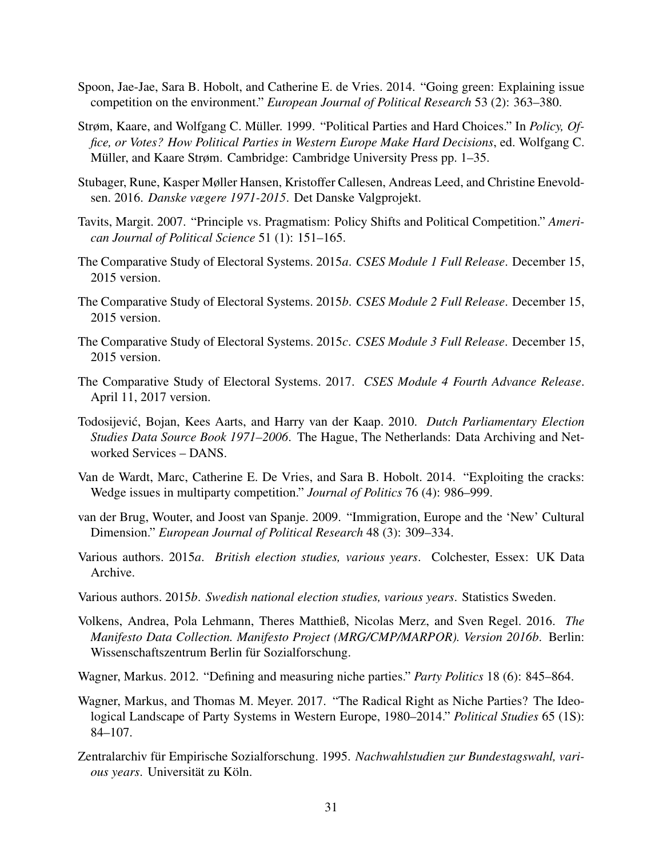- <span id="page-32-5"></span>Spoon, Jae-Jae, Sara B. Hobolt, and Catherine E. de Vries. 2014. "Going green: Explaining issue competition on the environment." *European Journal of Political Research* 53 (2): 363–380.
- <span id="page-32-1"></span>Strøm, Kaare, and Wolfgang C. Müller. 1999. "Political Parties and Hard Choices." In *Policy*, *Office, or Votes? How Political Parties in Western Europe Make Hard Decisions*, ed. Wolfgang C. Müller, and Kaare Strøm. Cambridge: Cambridge University Press pp. 1–35.
- <span id="page-32-11"></span>Stubager, Rune, Kasper Møller Hansen, Kristoffer Callesen, Andreas Leed, and Christine Enevoldsen. 2016. *Danske vægere 1971-2015*. Det Danske Valgprojekt.
- <span id="page-32-4"></span>Tavits, Margit. 2007. "Principle vs. Pragmatism: Policy Shifts and Political Competition." *American Journal of Political Science* 51 (1): 151–165.
- <span id="page-32-7"></span>The Comparative Study of Electoral Systems. 2015*a*. *CSES Module 1 Full Release*. December 15, 2015 version.
- <span id="page-32-8"></span>The Comparative Study of Electoral Systems. 2015*b*. *CSES Module 2 Full Release*. December 15, 2015 version.
- <span id="page-32-9"></span>The Comparative Study of Electoral Systems. 2015*c*. *CSES Module 3 Full Release*. December 15, 2015 version.
- <span id="page-32-10"></span>The Comparative Study of Electoral Systems. 2017. *CSES Module 4 Fourth Advance Release*. April 11, 2017 version.
- <span id="page-32-14"></span>Todosijević, Bojan, Kees Aarts, and Harry van der Kaap. 2010. Dutch Parliamentary Election *Studies Data Source Book 1971–2006*. The Hague, The Netherlands: Data Archiving and Networked Services – DANS.
- <span id="page-32-3"></span>Van de Wardt, Marc, Catherine E. De Vries, and Sara B. Hobolt. 2014. "Exploiting the cracks: Wedge issues in multiparty competition." *Journal of Politics* 76 (4): 986–999.
- <span id="page-32-0"></span>van der Brug, Wouter, and Joost van Spanje. 2009. "Immigration, Europe and the 'New' Cultural Dimension." *European Journal of Political Research* 48 (3): 309–334.
- <span id="page-32-13"></span>Various authors. 2015*a*. *British election studies, various years*. Colchester, Essex: UK Data Archive.
- <span id="page-32-15"></span>Various authors. 2015*b*. *Swedish national election studies, various years*. Statistics Sweden.
- <span id="page-32-16"></span>Volkens, Andrea, Pola Lehmann, Theres Matthieß, Nicolas Merz, and Sven Regel. 2016. *The Manifesto Data Collection. Manifesto Project (MRG/CMP/MARPOR). Version 2016b*. Berlin: Wissenschaftszentrum Berlin für Sozialforschung.
- <span id="page-32-2"></span>Wagner, Markus. 2012. "Defining and measuring niche parties." *Party Politics* 18 (6): 845–864.
- <span id="page-32-6"></span>Wagner, Markus, and Thomas M. Meyer. 2017. "The Radical Right as Niche Parties? The Ideological Landscape of Party Systems in Western Europe, 1980–2014." *Political Studies* 65 (1S): 84–107.
- <span id="page-32-12"></span>Zentralarchiv für Empirische Sozialforschung, 1995. Nachwahlstudien zur Bundestagswahl, vari $ous years.$  Universität zu Köln.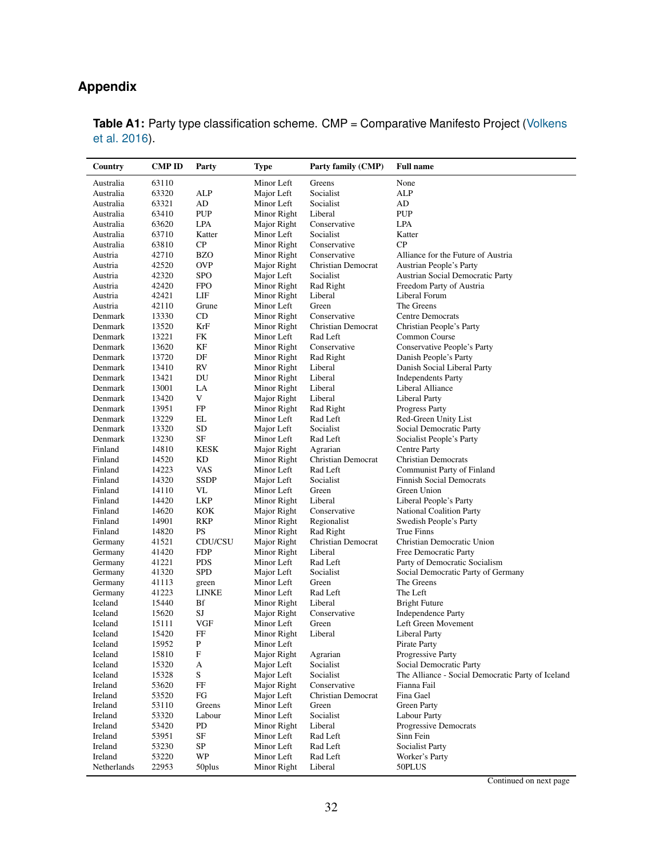### **Appendix**

| Country     | <b>CMP ID</b> | Party                     | Type                     | Party family (CMP)        | <b>Full name</b>                                  |
|-------------|---------------|---------------------------|--------------------------|---------------------------|---------------------------------------------------|
| Australia   | 63110         |                           | Minor Left               | Greens                    | None                                              |
| Australia   | 63320         | ALP                       | Major Left               | Socialist                 | <b>ALP</b>                                        |
| Australia   | 63321         | AD                        | Minor Left               | Socialist                 | AD                                                |
| Australia   | 63410         | PUP                       | Minor Right              | Liberal                   | <b>PUP</b>                                        |
| Australia   | 63620         | LPA                       | Major Right              | Conservative              | LPA                                               |
| Australia   | 63710         | Katter                    | Minor Left               | Socialist                 | Katter                                            |
| Australia   | 63810         | СP                        | Minor Right              | Conservative              | CP                                                |
| Austria     | 42710         | BZO                       | Minor Right              | Conservative              | Alliance for the Future of Austria                |
| Austria     | 42520         | <b>OVP</b>                | Major Right              | Christian Democrat        | Austrian People's Party                           |
| Austria     | 42320         | <b>SPO</b>                | Major Left               | Socialist                 | <b>Austrian Social Democratic Party</b>           |
| Austria     | 42420         | <b>FPO</b>                | Minor Right              | Rad Right                 | Freedom Party of Austria                          |
| Austria     | 42421         | LIF                       | Minor Right              | Liberal                   | Liberal Forum                                     |
| Austria     | 42110         | Grune                     | Minor Left               | Green                     | The Greens                                        |
| Denmark     | 13330         | CD                        | Minor Right              | Conservative              | <b>Centre Democrats</b>                           |
| Denmark     | 13520         | KrF                       | Minor Right              | Christian Democrat        | Christian People's Party                          |
| Denmark     | 13221         | FK                        | Minor Left               | Rad Left                  | Common Course                                     |
| Denmark     | 13620         | ΚF                        | Minor Right              | Conservative              | Conservative People's Party                       |
| Denmark     | 13720         | DF                        | Minor Right              | Rad Right                 | Danish People's Party                             |
| Denmark     | 13410         | RV                        | Minor Right              | Liberal                   | Danish Social Liberal Party                       |
| Denmark     | 13421         | DU                        | Minor Right              | Liberal                   | <b>Independents Party</b>                         |
| Denmark     | 13001         | LA                        | Minor Right              | Liberal                   | Liberal Alliance                                  |
| Denmark     | 13420         | V                         | Major Right              | Liberal                   | Liberal Party                                     |
| Denmark     | 13951         | FP                        | Minor Right              | Rad Right                 | <b>Progress Party</b>                             |
| Denmark     | 13229         | EL                        | Minor Left               | Rad Left                  | Red-Green Unity List                              |
| Denmark     | 13320         | <b>SD</b>                 | Major Left               | Socialist                 | Social Democratic Party                           |
| Denmark     | 13230         | SF                        | Minor Left               | Rad Left                  | Socialist People's Party                          |
| Finland     | 14810         | <b>KESK</b>               | Major Right              | Agrarian                  | <b>Centre Party</b>                               |
| Finland     | 14520         | ΚD                        | Minor Right              | <b>Christian Democrat</b> | <b>Christian Democrats</b>                        |
| Finland     | 14223         | VAS                       | Minor Left               | Rad Left                  | Communist Party of Finland                        |
| Finland     | 14320         | <b>SSDP</b>               | Major Left               | Socialist                 | <b>Finnish Social Democrats</b>                   |
| Finland     | 14110         | VL                        | Minor Left               | Green                     | Green Union                                       |
| Finland     | 14420         | LKP                       | Minor Right              | Liberal                   | Liberal People's Party                            |
| Finland     | 14620         | KOK                       | Major Right              | Conservative              | <b>National Coalition Party</b>                   |
| Finland     | 14901         | RKP                       | Minor Right              | Regionalist               | Swedish People's Party                            |
| Finland     | 14820         | PS                        | Minor Right              | Rad Right                 | True Finns                                        |
| Germany     | 41521         | CDU/CSU                   | Major Right              | Christian Democrat        | Christian Democratic Union                        |
| Germany     | 41420         | FDP                       | Minor Right              | Liberal                   | Free Democratic Party                             |
| Germany     | 41221         | <b>PDS</b>                | Minor Left               | Rad Left                  | Party of Democratic Socialism                     |
| Germany     | 41320         | <b>SPD</b>                | Major Left               | Socialist                 | Social Democratic Party of Germany                |
| Germany     | 41113         | green                     | Minor Left               | Green                     | The Greens                                        |
| Germany     | 41223         | LINKE                     | Minor Left               | Rad Left                  | The Left                                          |
| Iceland     | 15440         | Bf                        | Minor Right              | Liberal                   | <b>Bright Future</b>                              |
| Iceland     | 15620         | SJ                        | Major Right              | Conservative              | <b>Independence Party</b>                         |
| Iceland     | 15111         | VGF                       | Minor Left               | Green                     | Left Green Movement                               |
| Iceland     | 15420         | FF                        | Minor Right              | Liberal                   | Liberal Party                                     |
| Iceland     | 15952         | P                         | Minor Left               |                           | Pirate Party                                      |
| Iceland     | 15810         | $\boldsymbol{\mathrm{F}}$ | Major Right              | Agrarian                  | Progressive Party                                 |
| Iceland     | 15320         | А                         | Major Left               | Socialist                 | Social Democratic Party                           |
| Iceland     | 15328         | S                         | Major Left               | Socialist                 | The Alliance - Social Democratic Party of Iceland |
| Ireland     | 53620         | FF                        | Major Right              | Conservative              | Fianna Fail                                       |
| Ireland     | 53520         | ${\rm FG}$                | Major Left               | Christian Democrat        | Fina Gael                                         |
| Ireland     | 53110         | Greens                    | Minor Left               | Green                     | <b>Green Party</b>                                |
| Ireland     | 53320         | Labour                    | Minor Left               | Socialist                 | <b>Labour Party</b>                               |
| Ireland     | 53420         | PD                        | Minor Right              | Liberal                   | Progressive Democrats                             |
| Ireland     | 53951         | SF                        | Minor Left               | Rad Left                  | Sinn Fein                                         |
| Ireland     | 53230         | ${\rm SP}$<br>WP          | Minor Left<br>Minor Left | Rad Left                  | <b>Socialist Party</b>                            |
| Ireland     | 53220         |                           |                          | Rad Left                  | Worker's Party<br>$50PLUS$                        |
| Netherlands | 22953         | 50plus                    | Minor Right              | Liberal                   |                                                   |

<span id="page-33-0"></span>**Table A1:** Party type classification scheme. CMP = Comparative Manifesto Project [\(Volkens](#page-32-16) [et al.](#page-32-16) [2016\)](#page-32-16).

Continued on next page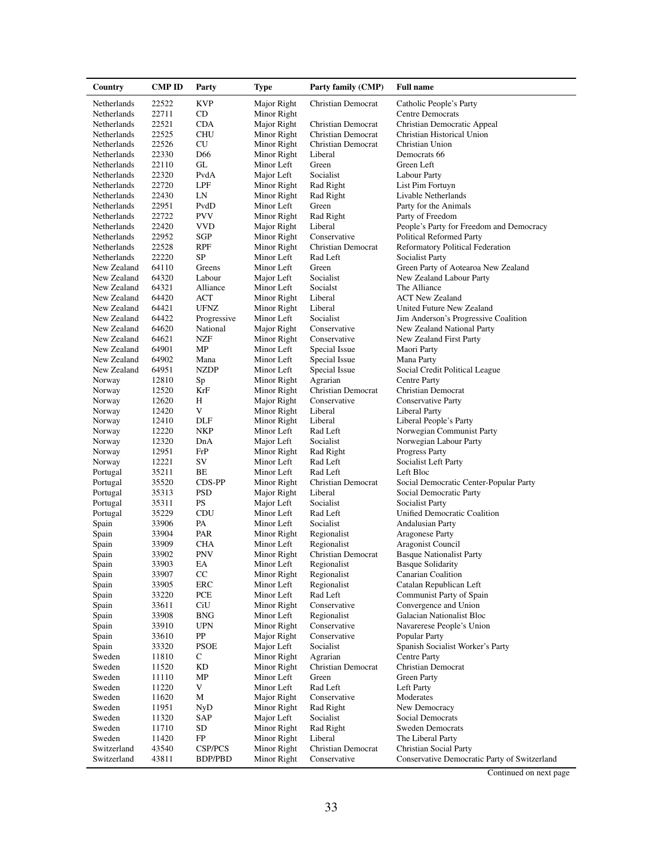| Country     | CMP ID | Party           | <b>Type</b> | Party family (CMP)        | <b>Full name</b>                             |
|-------------|--------|-----------------|-------------|---------------------------|----------------------------------------------|
| Netherlands | 22522  | <b>KVP</b>      | Major Right | Christian Democrat        | Catholic People's Party                      |
| Netherlands | 22711  | CD              | Minor Right |                           | <b>Centre Democrats</b>                      |
| Netherlands | 22521  | <b>CDA</b>      | Major Right | Christian Democrat        | Christian Democratic Appeal                  |
| Netherlands | 22525  | <b>CHU</b>      | Minor Right | Christian Democrat        | Christian Historical Union                   |
| Netherlands | 22526  | CU              | Minor Right | Christian Democrat        | Christian Union                              |
| Netherlands | 22330  | D <sub>66</sub> | Minor Right | Liberal                   | Democrats 66                                 |
| Netherlands | 22110  | GL              | Minor Left  | Green                     | Green Left                                   |
| Netherlands | 22320  | PvdA            | Major Left  | Socialist                 | <b>Labour Party</b>                          |
| Netherlands | 22720  | LPF             | Minor Right | Rad Right                 | List Pim Fortuyn                             |
| Netherlands | 22430  | LN              | Minor Right | Rad Right                 | Livable Netherlands                          |
| Netherlands | 22951  | PvdD            | Minor Left  | Green                     | Party for the Animals                        |
| Netherlands | 22722  | <b>PVV</b>      | Minor Right | Rad Right                 | Party of Freedom                             |
| Netherlands | 22420  | <b>VVD</b>      | Major Right | Liberal                   | People's Party for Freedom and Democracy     |
| Netherlands | 22952  | SGP             | Minor Right | Conservative              | <b>Political Reformed Party</b>              |
| Netherlands | 22528  | RPF             | Minor Right | Christian Democrat        | Reformatory Political Federation             |
| Netherlands | 22220  | SP              | Minor Left  | Rad Left                  | <b>Socialist Party</b>                       |
| New Zealand | 64110  | Greens          | Minor Left  | Green                     | Green Party of Aotearoa New Zealand          |
| New Zealand | 64320  | Labour          | Major Left  | Socialist                 | New Zealand Labour Party                     |
| New Zealand | 64321  | Alliance        | Minor Left  | Socialst                  | The Alliance                                 |
| New Zealand | 64420  | ACT             | Minor Right | Liberal                   | <b>ACT New Zealand</b>                       |
| New Zealand | 64421  | <b>UFNZ</b>     | Minor Right | Liberal                   | United Future New Zealand                    |
| New Zealand | 64422  | Progressive     | Minor Left  | Socialist                 | Jim Anderson's Progressive Coalition         |
| New Zealand | 64620  | National        | Major Right | Conservative              | New Zealand National Party                   |
| New Zealand | 64621  | NZF             | Minor Right | Conservative              | New Zealand First Party                      |
| New Zealand | 64901  | MP              | Minor Left  | Special Issue             | Maori Party                                  |
| New Zealand | 64902  | Mana            | Minor Left  | Special Issue             | Mana Party                                   |
| New Zealand | 64951  | <b>NZDP</b>     | Minor Left  | Special Issue             | Social Credit Political League               |
| Norway      | 12810  | Sp              | Minor Right | Agrarian                  | <b>Centre Party</b>                          |
| Norway      | 12520  | KrF             | Minor Right | Christian Democrat        | <b>Christian Democrat</b>                    |
| Norway      | 12620  | Η               | Major Right | Conservative              | <b>Conservative Party</b>                    |
| Norway      | 12420  | V               | Minor Right | Liberal                   | Liberal Party                                |
| Norway      | 12410  | DLF             | Minor Right | Liberal                   | Liberal People's Party                       |
| Norway      | 12220  | NKP             | Minor Left  | Rad Left                  | Norwegian Communist Party                    |
| Norway      | 12320  | DnA             | Major Left  | Socialist                 | Norwegian Labour Party                       |
| Norway      | 12951  | FrP             | Minor Right | Rad Right                 | <b>Progress Party</b>                        |
| Norway      | 12221  | SV              | Minor Left  | Rad Left                  | Socialist Left Party                         |
| Portugal    | 35211  | BЕ              | Minor Left  | Rad Left                  | Left Bloc                                    |
| Portugal    | 35520  | CDS-PP          | Minor Right | Christian Democrat        | Social Democratic Center-Popular Party       |
| Portugal    | 35313  | <b>PSD</b>      | Major Right | Liberal                   | Social Democratic Party                      |
| Portugal    | 35311  | PS              | Major Left  | Socialist                 | Socialist Party                              |
| Portugal    | 35229  | CDU             | Minor Left  | Rad Left                  | Unified Democratic Coalition                 |
| Spain       | 33906  | PA              | Minor Left  | Socialist                 | <b>Andalusian Party</b>                      |
| Spain       | 33904  | PAR             | Minor Right | Regionalist               | <b>Aragonese Party</b>                       |
| Spain       | 33909  | CHA             | Minor Left  | Regionalist               | Aragonist Council                            |
| Spain       | 33902  | <b>PNV</b>      | Minor Right | <b>Christian Democrat</b> | <b>Basque Nationalist Party</b>              |
| Spain       | 33903  | EA              | Minor Left  | Regionalist               | <b>Basque Solidarity</b>                     |
| Spain       | 33907  | CC              | Minor Right | Regionalist               | Canarian Coalition                           |
| Spain       | 33905  | ERC             | Minor Left  | Regionalist               | Catalan Republican Left                      |
| Spain       | 33220  | PCE             | Minor Left  | Rad Left                  | Communist Party of Spain                     |
| Spain       | 33611  | CiU             | Minor Right | Conservative              | Convergence and Union                        |
| Spain       | 33908  | <b>BNG</b>      | Minor Left  | Regionalist               | Galacian Nationalist Bloc                    |
| Spain       | 33910  | <b>UPN</b>      | Minor Right | Conservative              | Navarerese People's Union                    |
| Spain       | 33610  | PP              | Major Right | Conservative              | Popular Party                                |
| Spain       | 33320  | <b>PSOE</b>     | Major Left  | Socialist                 | Spanish Socialist Worker's Party             |
| Sweden      | 11810  | C               | Minor Right | Agrarian                  | <b>Centre Party</b>                          |
| Sweden      | 11520  | KD              | Minor Right | Christian Democrat        | Christian Democrat                           |
| Sweden      | 11110  | MP              | Minor Left  | Green                     | <b>Green Party</b>                           |
| Sweden      | 11220  | V               | Minor Left  | Rad Left                  | Left Party                                   |
| Sweden      | 11620  | М               | Major Right | Conservative              | Moderates                                    |
| Sweden      | 11951  | NyD             | Minor Right | Rad Right                 | New Democracy                                |
| Sweden      | 11320  | SAP             | Major Left  | Socialist                 | Social Democrats                             |
| Sweden      | 11710  | SD              | Minor Right | Rad Right                 | <b>Sweden Democrats</b>                      |
| Sweden      | 11420  | FP              | Minor Right | Liberal                   | The Liberal Party                            |
| Switzerland | 43540  | CSP/PCS         | Minor Right | Christian Democrat        | Christian Social Party                       |
| Switzerland | 43811  | BDP/PBD         | Minor Right | Conservative              | Conservative Democratic Party of Switzerland |

Continued on next page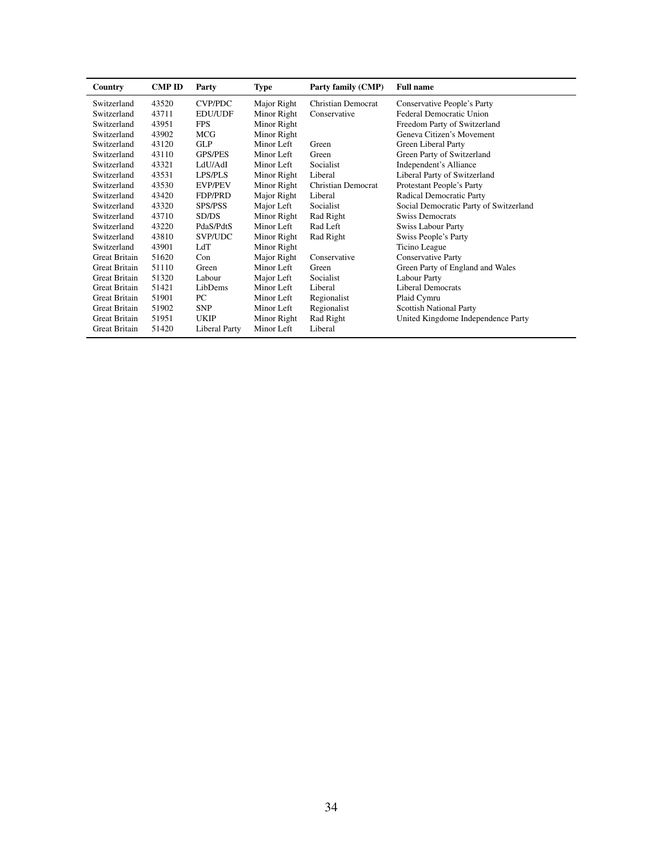| Country              | <b>CMP ID</b> | Party          | <b>Type</b> | Party family (CMP)        | <b>Full name</b>                       |
|----------------------|---------------|----------------|-------------|---------------------------|----------------------------------------|
| Switzerland          | 43520         | CVP/PDC        | Major Right | Christian Democrat        | Conservative People's Party            |
| Switzerland          | 43711         | <b>EDU/UDF</b> | Minor Right | Conservative              | Federal Democratic Union               |
| Switzerland          | 43951         | <b>FPS</b>     | Minor Right |                           | Freedom Party of Switzerland           |
| Switzerland          | 43902         | MCG            | Minor Right |                           | Geneva Citizen's Movement              |
| Switzerland          | 43120         | <b>GLP</b>     | Minor Left  | Green                     | Green Liberal Party                    |
| Switzerland          | 43110         | <b>GPS/PES</b> | Minor Left  | Green                     | Green Party of Switzerland             |
| Switzerland          | 43321         | LdU/AdI        | Minor Left  | Socialist                 | Independent's Alliance                 |
| Switzerland          | 43531         | LPS/PLS        | Minor Right | Liberal                   | Liberal Party of Switzerland           |
| Switzerland          | 43530         | <b>EVP/PEV</b> | Minor Right | <b>Christian Democrat</b> | Protestant People's Party              |
| Switzerland          | 43420         | <b>FDP/PRD</b> | Major Right | Liberal                   | Radical Democratic Party               |
| Switzerland          | 43320         | <b>SPS/PSS</b> | Major Left  | Socialist                 | Social Democratic Party of Switzerland |
| Switzerland          | 43710         | SD/DS          | Minor Right | Rad Right                 | <b>Swiss Democrats</b>                 |
| Switzerland          | 43220         | PdaS/PdtS      | Minor Left  | Rad Left                  | <b>Swiss Labour Party</b>              |
| Switzerland          | 43810         | SVP/UDC        | Minor Right | Rad Right                 | Swiss People's Party                   |
| Switzerland          | 43901         | LdT            | Minor Right |                           | Ticino League                          |
| <b>Great Britain</b> | 51620         | Con            | Major Right | Conservative              | <b>Conservative Party</b>              |
| <b>Great Britain</b> | 51110         | Green          | Minor Left  | Green                     | Green Party of England and Wales       |
| Great Britain        | 51320         | Labour         | Major Left  | Socialist                 | <b>Labour Party</b>                    |
| <b>Great Britain</b> | 51421         | LibDems        | Minor Left  | Liberal                   | <b>Liberal Democrats</b>               |
| <b>Great Britain</b> | 51901         | PC             | Minor Left  | Regionalist               | Plaid Cymru                            |
| <b>Great Britain</b> | 51902         | <b>SNP</b>     | Minor Left  | Regionalist               | <b>Scottish National Party</b>         |
| <b>Great Britain</b> | 51951         | <b>UKIP</b>    | Minor Right | Rad Right                 | United Kingdome Independence Party     |
| Great Britain        | 51420         | Liberal Party  | Minor Left  | Liberal                   |                                        |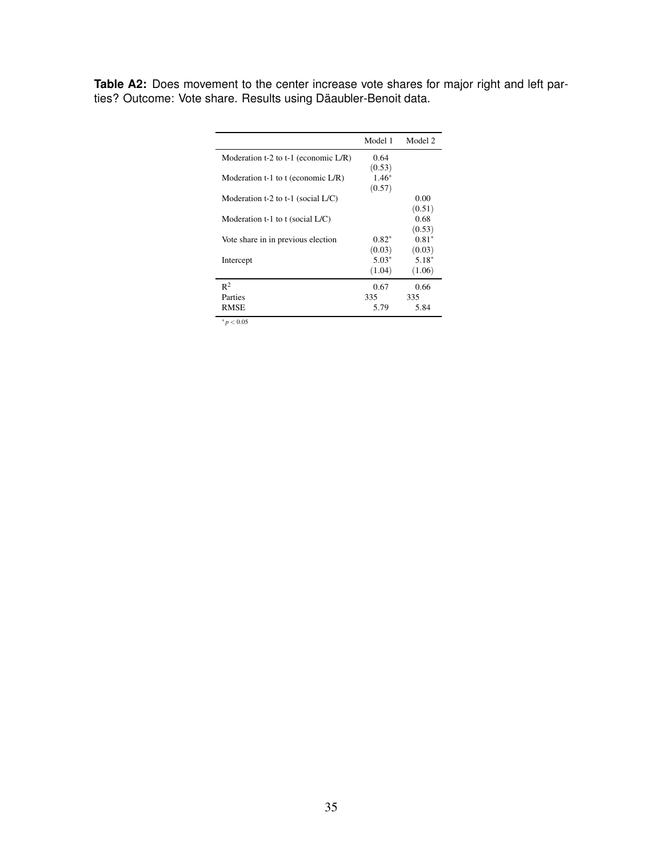<span id="page-36-0"></span>**Table A2:** Does movement to the center increase vote shares for major right and left parties? Outcome: Vote share. Results using Däaubler-Benoit data.

|                                         | Model 1 | Model 2 |
|-----------------------------------------|---------|---------|
| Moderation t-2 to t-1 (economic $L/R$ ) | 0.64    |         |
|                                         | (0.53)  |         |
| Moderation t-1 to t (economic $L/R$ )   | $1.46*$ |         |
|                                         | (0.57)  |         |
| Moderation t-2 to t-1 (social $L/C$ )   |         | 0.00    |
|                                         |         | (0.51)  |
| Moderation $t-1$ to t (social $L/C$ )   |         | 0.68    |
|                                         |         | (0.53)  |
| Vote share in in previous election      | $0.82*$ | $0.81*$ |
|                                         | (0.03)  | (0.03)  |
| Intercept                               | $5.03*$ | $5.18*$ |
|                                         | (1.04)  | (1.06)  |
| $R^2$                                   | 0.67    | 0.66    |
| Parties                                 | 335     | 335     |
| RMSE                                    | 5.79    | 5.84    |
|                                         |         |         |

 $*_{p < 0.05}$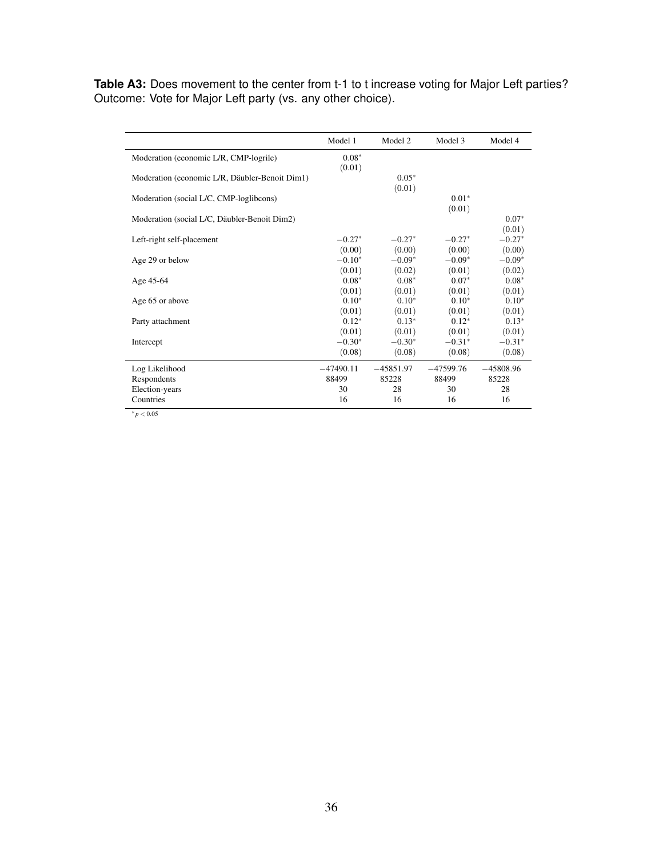<span id="page-37-0"></span>Table A3: Does movement to the center from t-1 to t increase voting for Major Left parties? Outcome: Vote for Major Left party (vs. any other choice).

|                                                | Model 1     | Model 2     | Model 3     | Model 4     |
|------------------------------------------------|-------------|-------------|-------------|-------------|
| Moderation (economic L/R, CMP-logrile)         | $0.08*$     |             |             |             |
|                                                | (0.01)      |             |             |             |
| Moderation (economic L/R, Däubler-Benoit Dim1) |             | $0.05*$     |             |             |
|                                                |             | (0.01)      |             |             |
| Moderation (social L/C, CMP-loglibcons)        |             |             | $0.01*$     |             |
|                                                |             |             | (0.01)      |             |
| Moderation (social L/C, Däubler-Benoit Dim2)   |             |             |             | $0.07*$     |
|                                                |             |             |             | (0.01)      |
| Left-right self-placement                      | $-0.27*$    | $-0.27*$    | $-0.27*$    | $-0.27*$    |
|                                                | (0.00)      | (0.00)      | (0.00)      | (0.00)      |
| Age 29 or below                                | $-0.10*$    | $-0.09*$    | $-0.09*$    | $-0.09*$    |
|                                                | (0.01)      | (0.02)      | (0.01)      | (0.02)      |
| Age 45-64                                      | $0.08*$     | $0.08*$     | $0.07*$     | $0.08*$     |
|                                                | (0.01)      | (0.01)      | (0.01)      | (0.01)      |
| Age 65 or above                                | $0.10*$     | $0.10*$     | $0.10*$     | $0.10*$     |
|                                                | (0.01)      | (0.01)      | (0.01)      | (0.01)      |
| Party attachment                               | $0.12*$     | $0.13*$     | $0.12*$     | $0.13*$     |
|                                                | (0.01)      | (0.01)      | (0.01)      | (0.01)      |
| Intercept                                      | $-0.30*$    | $-0.30*$    | $-0.31*$    | $-0.31*$    |
|                                                | (0.08)      | (0.08)      | (0.08)      | (0.08)      |
| Log Likelihood                                 | $-47490.11$ | $-45851.97$ | $-47599.76$ | $-45808.96$ |
| Respondents                                    | 88499       | 85228       | 88499       | 85228       |
| Election-years                                 | 30          | 28          | 30          | 28          |
| Countries                                      | 16          | 16          | 16          | 16          |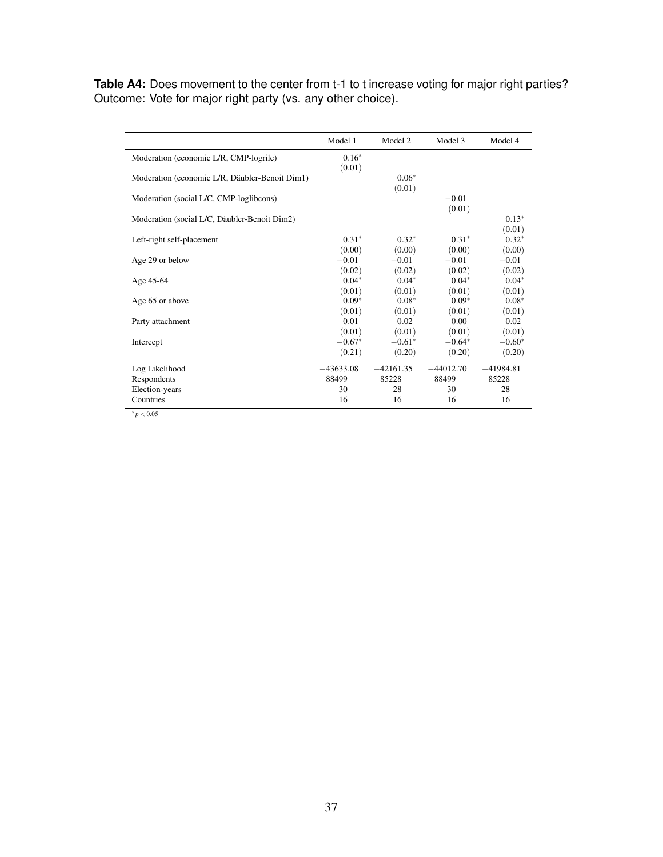<span id="page-38-0"></span>**Table A4:** Does movement to the center from t-1 to t increase voting for major right parties? Outcome: Vote for major right party (vs. any other choice).

|                                                | Model 1     | Model 2     | Model 3     | Model 4     |
|------------------------------------------------|-------------|-------------|-------------|-------------|
| Moderation (economic L/R, CMP-logrile)         | $0.16*$     |             |             |             |
|                                                | (0.01)      |             |             |             |
| Moderation (economic L/R, Däubler-Benoit Dim1) |             | $0.06*$     |             |             |
|                                                |             | (0.01)      |             |             |
| Moderation (social L/C, CMP-loglibcons)        |             |             | $-0.01$     |             |
|                                                |             |             | (0.01)      |             |
| Moderation (social L/C, Däubler-Benoit Dim2)   |             |             |             | $0.13*$     |
|                                                |             |             |             | (0.01)      |
| Left-right self-placement                      | $0.31*$     | $0.32*$     | $0.31*$     | $0.32*$     |
|                                                | (0.00)      | (0.00)      | (0.00)      | (0.00)      |
| Age 29 or below                                | $-0.01$     | $-0.01$     | $-0.01$     | $-0.01$     |
|                                                | (0.02)      | (0.02)      | (0.02)      | (0.02)      |
| Age 45-64                                      | $0.04*$     | $0.04*$     | $0.04*$     | $0.04*$     |
|                                                | (0.01)      | (0.01)      | (0.01)      | (0.01)      |
| Age 65 or above                                | $0.09*$     | $0.08*$     | $0.09*$     | $0.08*$     |
|                                                | (0.01)      | (0.01)      | (0.01)      | (0.01)      |
| Party attachment                               | 0.01        | 0.02        | 0.00        | 0.02        |
|                                                | (0.01)      | (0.01)      | (0.01)      | (0.01)      |
| Intercept                                      | $-0.67*$    | $-0.61*$    | $-0.64*$    | $-0.60*$    |
|                                                | (0.21)      | (0.20)      | (0.20)      | (0.20)      |
| Log Likelihood                                 | $-43633.08$ | $-42161.35$ | $-44012.70$ | $-41984.81$ |
| Respondents                                    | 88499       | 85228       | 88499       | 85228       |
| Election-years                                 | 30          | 28          | 30          | 28          |
| Countries                                      | 16          | 16          | 16          | 16          |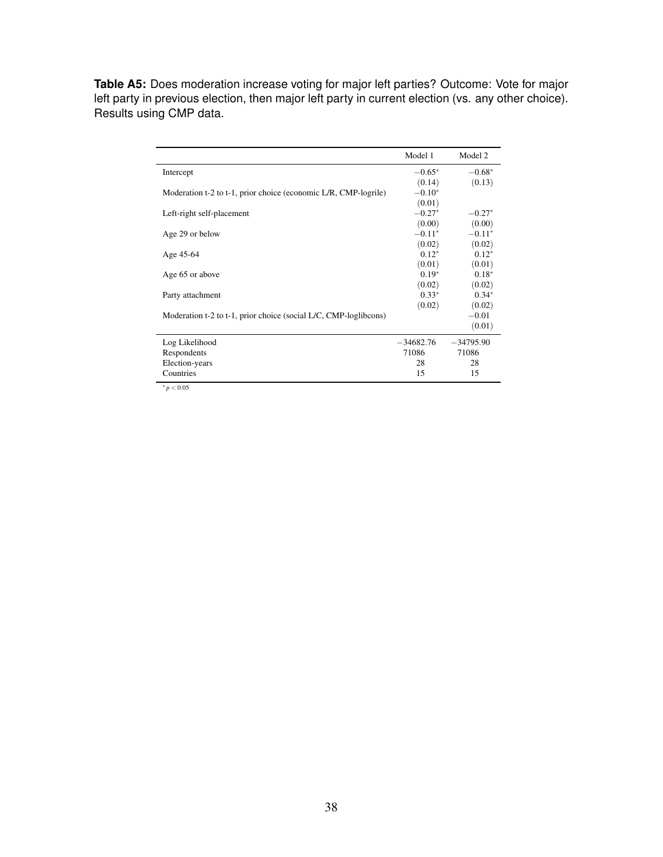<span id="page-39-0"></span>**Table A5:** Does moderation increase voting for major left parties? Outcome: Vote for major left party in previous election, then major left party in current election (vs. any other choice). Results using CMP data.

|                                                                  | Model 1     | Model 2     |
|------------------------------------------------------------------|-------------|-------------|
| Intercept                                                        | $-0.65*$    | $-0.68*$    |
|                                                                  | (0.14)      | (0.13)      |
| Moderation t-2 to t-1, prior choice (economic L/R, CMP-logrile)  | $-0.10*$    |             |
|                                                                  | (0.01)      |             |
| Left-right self-placement                                        | $-0.27*$    | $-0.27*$    |
|                                                                  | (0.00)      | (0.00)      |
| Age 29 or below                                                  | $-0.11*$    | $-0.11*$    |
|                                                                  | (0.02)      | (0.02)      |
| Age 45-64                                                        | $0.12*$     | $0.12*$     |
|                                                                  | (0.01)      | (0.01)      |
| Age 65 or above                                                  | $0.19*$     | $0.18*$     |
|                                                                  | (0.02)      | (0.02)      |
| Party attachment                                                 | $0.33*$     | $0.34*$     |
|                                                                  | (0.02)      | (0.02)      |
| Moderation t-2 to t-1, prior choice (social L/C, CMP-loglibcons) |             | $-0.01$     |
|                                                                  |             | (0.01)      |
| Log Likelihood                                                   | $-34682.76$ | $-34795.90$ |
| Respondents                                                      | 71086       | 71086       |
| Election-years                                                   | 28          | 28          |
| Countries                                                        | 15          | 15          |

<sup>∗</sup> *p* < 0.05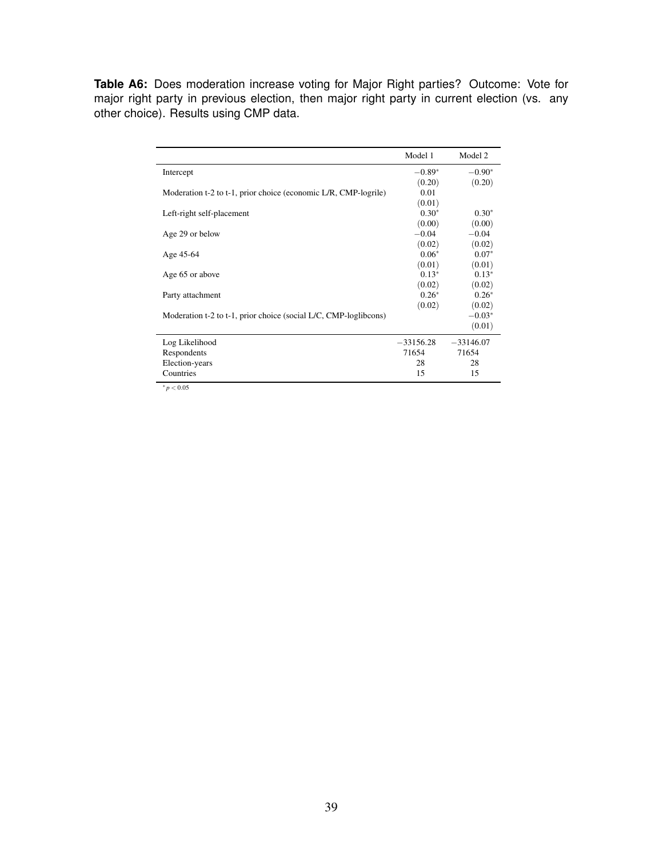<span id="page-40-0"></span>**Table A6:** Does moderation increase voting for Major Right parties? Outcome: Vote for major right party in previous election, then major right party in current election (vs. any other choice). Results using CMP data.

|                                                                  | Model 1     | Model 2     |
|------------------------------------------------------------------|-------------|-------------|
| Intercept                                                        | $-0.89*$    | $-0.90*$    |
|                                                                  | (0.20)      | (0.20)      |
| Moderation t-2 to t-1, prior choice (economic L/R, CMP-logrile)  | 0.01        |             |
|                                                                  | (0.01)      |             |
| Left-right self-placement                                        | $0.30*$     | $0.30*$     |
|                                                                  | (0.00)      | (0.00)      |
| Age 29 or below                                                  | $-0.04$     | $-0.04$     |
|                                                                  | (0.02)      | (0.02)      |
| Age 45-64                                                        | $0.06*$     | $0.07*$     |
|                                                                  | (0.01)      | (0.01)      |
| Age 65 or above                                                  | $0.13*$     | $0.13*$     |
|                                                                  | (0.02)      | (0.02)      |
| Party attachment                                                 | $0.26*$     | $0.26*$     |
|                                                                  | (0.02)      | (0.02)      |
| Moderation t-2 to t-1, prior choice (social L/C, CMP-loglibcons) |             | $-0.03*$    |
|                                                                  |             | (0.01)      |
| Log Likelihood                                                   | $-33156.28$ | $-33146.07$ |
| Respondents                                                      | 71654       | 71654       |
| Election-years                                                   | 28          | 28          |
| Countries                                                        | 15          | 15          |

 $^{\ast}p < 0.05$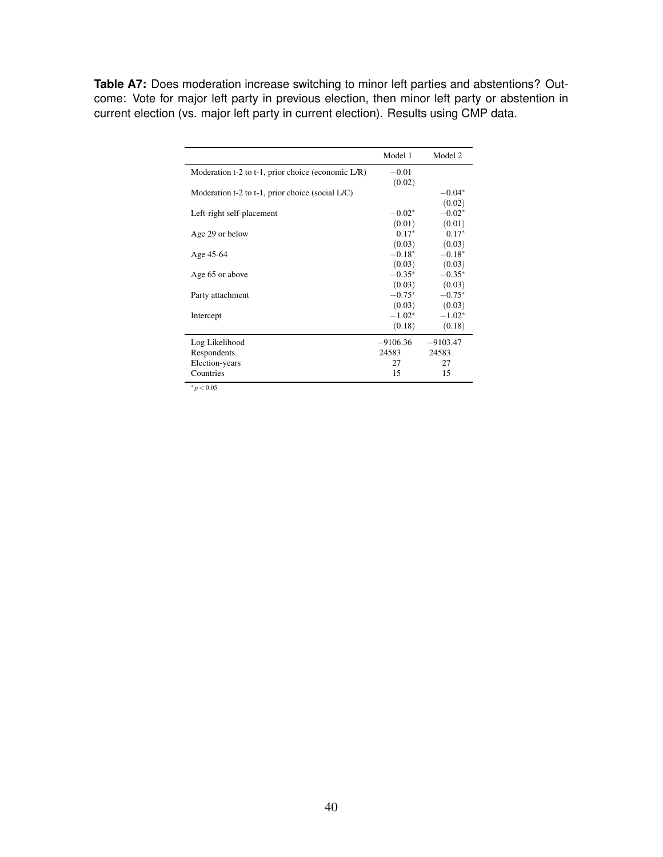<span id="page-41-0"></span>**Table A7:** Does moderation increase switching to minor left parties and abstentions? Outcome: Vote for major left party in previous election, then minor left party or abstention in current election (vs. major left party in current election). Results using CMP data.

|                                                     | Model 1    | Model 2    |
|-----------------------------------------------------|------------|------------|
| Moderation t-2 to t-1, prior choice (economic L/R)  | $-0.01$    |            |
|                                                     | (0.02)     |            |
| Moderation t-2 to t-1, prior choice (social $L/C$ ) |            | $-0.04*$   |
|                                                     |            | (0.02)     |
| Left-right self-placement                           | $-0.02*$   | $-0.02*$   |
|                                                     | (0.01)     | (0.01)     |
| Age 29 or below                                     | $0.17*$    | $0.17*$    |
|                                                     | (0.03)     | (0.03)     |
| Age 45-64                                           | $-0.18*$   | $-0.18*$   |
|                                                     | (0.03)     | (0.03)     |
| Age 65 or above                                     | $-0.35*$   | $-0.35*$   |
|                                                     | (0.03)     | (0.03)     |
| Party attachment                                    | $-0.75*$   | $-0.75*$   |
|                                                     | (0.03)     | (0.03)     |
| Intercept                                           | $-1.02*$   | $-1.02*$   |
|                                                     | (0.18)     | (0.18)     |
| Log Likelihood                                      | $-9106.36$ | $-9103.47$ |
| Respondents                                         | 24583      | 24583      |
| Election-years                                      | 27         | 27         |
| Countries                                           | 15         | 15         |
| $\ddot{x}$ $\ddot{\theta}$                          |            |            |

<sup>∗</sup> *p* < 0.05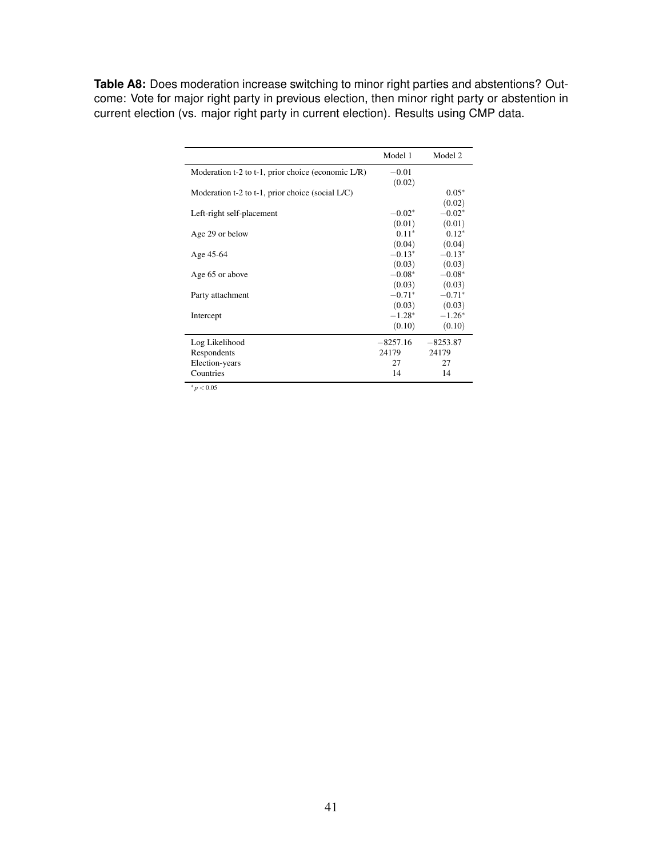<span id="page-42-0"></span>**Table A8:** Does moderation increase switching to minor right parties and abstentions? Outcome: Vote for major right party in previous election, then minor right party or abstention in current election (vs. major right party in current election). Results using CMP data.

|                                                       | Model 1    | Model 2    |
|-------------------------------------------------------|------------|------------|
| Moderation t-2 to t-1, prior choice (economic $L/R$ ) | $-0.01$    |            |
|                                                       | (0.02)     |            |
| Moderation t-2 to t-1, prior choice (social $L/C$ )   |            | $0.05*$    |
|                                                       |            | (0.02)     |
| Left-right self-placement                             | $-0.02*$   | $-0.02*$   |
|                                                       | (0.01)     | (0.01)     |
| Age 29 or below                                       | $0.11*$    | $0.12*$    |
|                                                       | (0.04)     | (0.04)     |
| Age 45-64                                             | $-0.13*$   | $-0.13*$   |
|                                                       | (0.03)     | (0.03)     |
| Age 65 or above                                       | $-0.08*$   | $-0.08*$   |
|                                                       | (0.03)     | (0.03)     |
| Party attachment                                      | $-0.71*$   | $-0.71*$   |
|                                                       | (0.03)     | (0.03)     |
| Intercept                                             | $-1.28*$   | $-1.26*$   |
|                                                       | (0.10)     | (0.10)     |
| Log Likelihood                                        | $-8257.16$ | $-8253.87$ |
| Respondents                                           | 24179      | 24179      |
| Election-years                                        | 27         | 27         |
| Countries                                             | 14         | 14         |
| $\ddot{x}$ $\ddot{\theta}$                            |            |            |

<sup>∗</sup> *p* < 0.05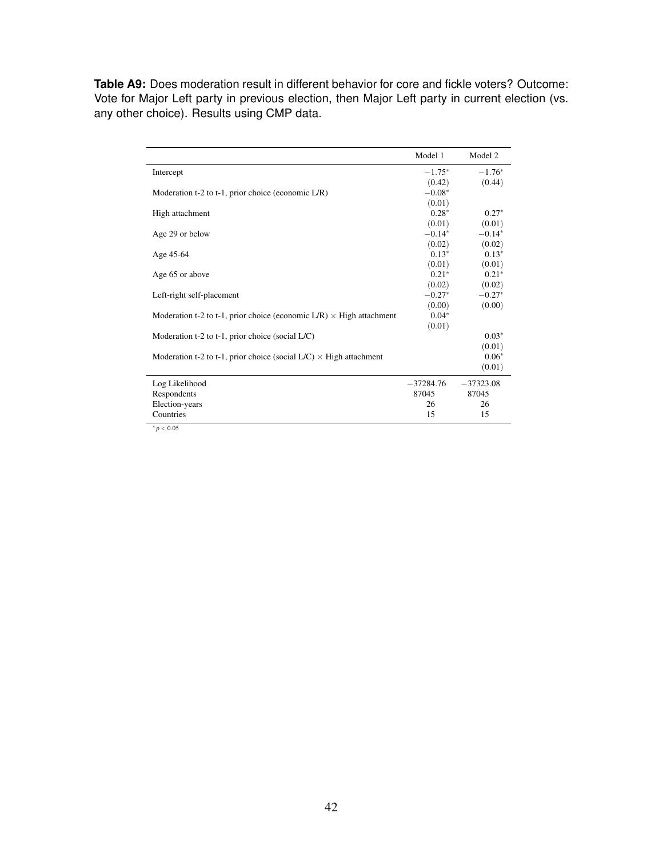<span id="page-43-0"></span>**Table A9:** Does moderation result in different behavior for core and fickle voters? Outcome: Vote for Major Left party in previous election, then Major Left party in current election (vs. any other choice). Results using CMP data.

|                                                                                | Model 1     | Model 2     |
|--------------------------------------------------------------------------------|-------------|-------------|
| Intercept                                                                      | $-1.75*$    | $-1.76*$    |
|                                                                                | (0.42)      | (0.44)      |
| Moderation t-2 to t-1, prior choice (economic L/R)                             | $-0.08*$    |             |
|                                                                                | (0.01)      |             |
| High attachment                                                                | $0.28*$     | $0.27*$     |
|                                                                                | (0.01)      | (0.01)      |
| Age 29 or below                                                                | $-0.14*$    | $-0.14*$    |
|                                                                                | (0.02)      | (0.02)      |
| Age 45-64                                                                      | $0.13*$     | $0.13*$     |
|                                                                                | (0.01)      | (0.01)      |
| Age 65 or above                                                                | $0.21*$     | $0.21*$     |
|                                                                                | (0.02)      | (0.02)      |
| Left-right self-placement                                                      | $-0.27*$    | $-0.27*$    |
|                                                                                | (0.00)      | (0.00)      |
| Moderation t-2 to t-1, prior choice (economic $L/R$ ) $\times$ High attachment | $0.04*$     |             |
|                                                                                | (0.01)      |             |
| Moderation t-2 to t-1, prior choice (social $L/C$ )                            |             | $0.03*$     |
|                                                                                |             | (0.01)      |
| Moderation t-2 to t-1, prior choice (social $L/C$ ) $\times$ High attachment   |             | $0.06*$     |
|                                                                                |             | (0.01)      |
| Log Likelihood                                                                 | $-37284.76$ | $-37323.08$ |
| Respondents                                                                    | 87045       | 87045       |
| Election-years                                                                 | 26          | 26          |
| Countries                                                                      | 15          | 15          |

 $^{\ast}p < 0.05$